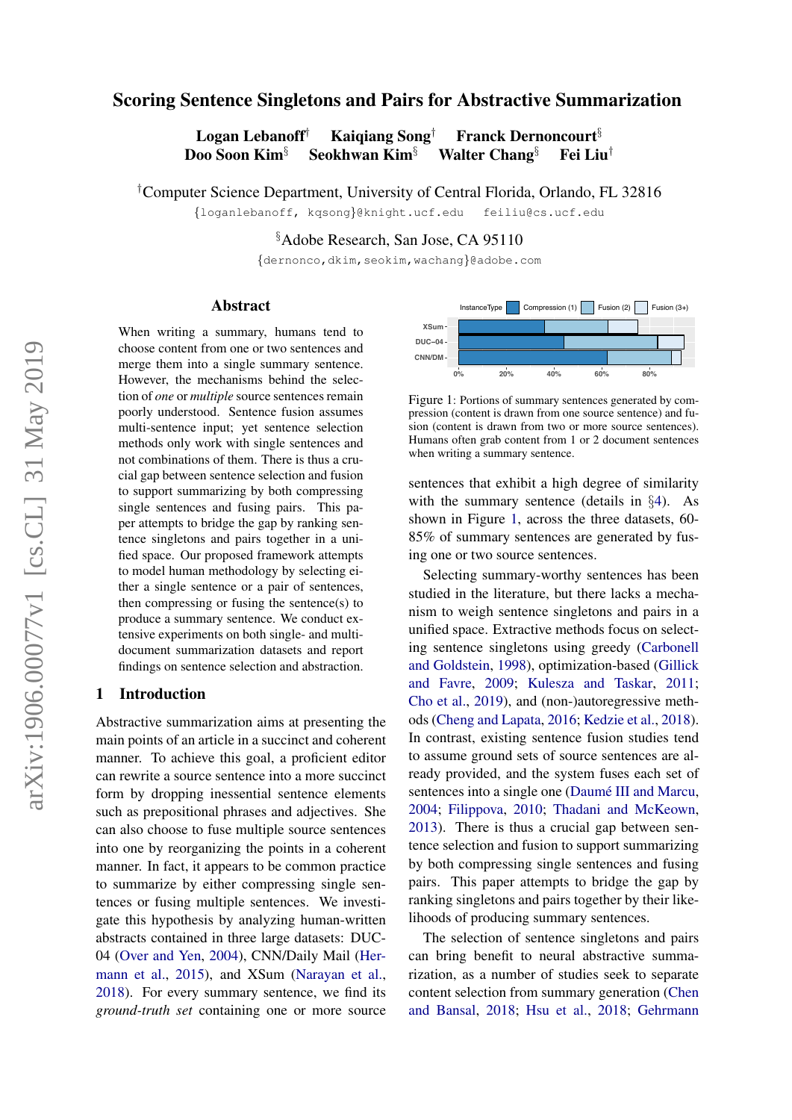# Scoring Sentence Singletons and Pairs for Abstractive Summarization

Logan Lebanoff† Kaiqiang Song† Franck Dernoncourt§ Doo Soon Kim§ Seokhwan Kim§ Walter Chang§ Fei Liu†

†Computer Science Department, University of Central Florida, Orlando, FL 32816

{loganlebanoff, kqsong}@knight.ucf.edu feiliu@cs.ucf.edu

§Adobe Research, San Jose, CA 95110

{dernonco,dkim,seokim,wachang}@adobe.com

#### Abstract

When writing a summary, humans tend to choose content from one or two sentences and merge them into a single summary sentence. However, the mechanisms behind the selection of *one* or *multiple* source sentences remain poorly understood. Sentence fusion assumes multi-sentence input; yet sentence selection methods only work with single sentences and not combinations of them. There is thus a crucial gap between sentence selection and fusion to support summarizing by both compressing single sentences and fusing pairs. This paper attempts to bridge the gap by ranking sentence singletons and pairs together in a unified space. Our proposed framework attempts to model human methodology by selecting either a single sentence or a pair of sentences, then compressing or fusing the sentence(s) to produce a summary sentence. We conduct extensive experiments on both single- and multidocument summarization datasets and report findings on sentence selection and abstraction.

#### 1 Introduction

Abstractive summarization aims at presenting the main points of an article in a succinct and coherent manner. To achieve this goal, a proficient editor can rewrite a source sentence into a more succinct form by dropping inessential sentence elements such as prepositional phrases and adjectives. She can also choose to fuse multiple source sentences into one by reorganizing the points in a coherent manner. In fact, it appears to be common practice to summarize by either compressing single sentences or fusing multiple sentences. We investigate this hypothesis by analyzing human-written abstracts contained in three large datasets: DUC-04 [\(Over and Yen,](#page-10-0) [2004\)](#page-10-0), CNN/Daily Mail [\(Her](#page-9-0)[mann et al.,](#page-9-0) [2015\)](#page-9-0), and XSum [\(Narayan et al.,](#page-10-1) [2018\)](#page-10-1). For every summary sentence, we find its *ground-truth set* containing one or more source

<span id="page-0-0"></span>

Figure 1: Portions of summary sentences generated by compression (content is drawn from one source sentence) and fusion (content is drawn from two or more source sentences). Humans often grab content from 1 or 2 document sentences when writing a summary sentence.

sentences that exhibit a high degree of similarity with the summary sentence (details in §[4\)](#page-4-0). As shown in Figure [1,](#page-0-0) across the three datasets, 60- 85% of summary sentences are generated by fusing one or two source sentences.

Selecting summary-worthy sentences has been studied in the literature, but there lacks a mechanism to weigh sentence singletons and pairs in a unified space. Extractive methods focus on selecting sentence singletons using greedy [\(Carbonell](#page-8-0) [and Goldstein,](#page-8-0) [1998\)](#page-8-0), optimization-based [\(Gillick](#page-9-1) [and Favre,](#page-9-1) [2009;](#page-9-1) [Kulesza and Taskar,](#page-9-2) [2011;](#page-9-2) [Cho et al.,](#page-9-3) [2019\)](#page-9-3), and (non-)autoregressive methods [\(Cheng and Lapata,](#page-9-4) [2016;](#page-9-4) [Kedzie et al.,](#page-9-5) [2018\)](#page-9-5). In contrast, existing sentence fusion studies tend to assume ground sets of source sentences are already provided, and the system fuses each set of sentences into a single one (Daumé III and Marcu, [2004;](#page-9-6) [Filippova,](#page-9-7) [2010;](#page-9-7) [Thadani and McKeown,](#page-10-2) [2013\)](#page-10-2). There is thus a crucial gap between sentence selection and fusion to support summarizing by both compressing single sentences and fusing pairs. This paper attempts to bridge the gap by ranking singletons and pairs together by their likelihoods of producing summary sentences.

The selection of sentence singletons and pairs can bring benefit to neural abstractive summarization, as a number of studies seek to separate content selection from summary generation [\(Chen](#page-8-1) [and Bansal,](#page-8-1) [2018;](#page-8-1) [Hsu et al.,](#page-9-8) [2018;](#page-9-8) [Gehrmann](#page-9-9)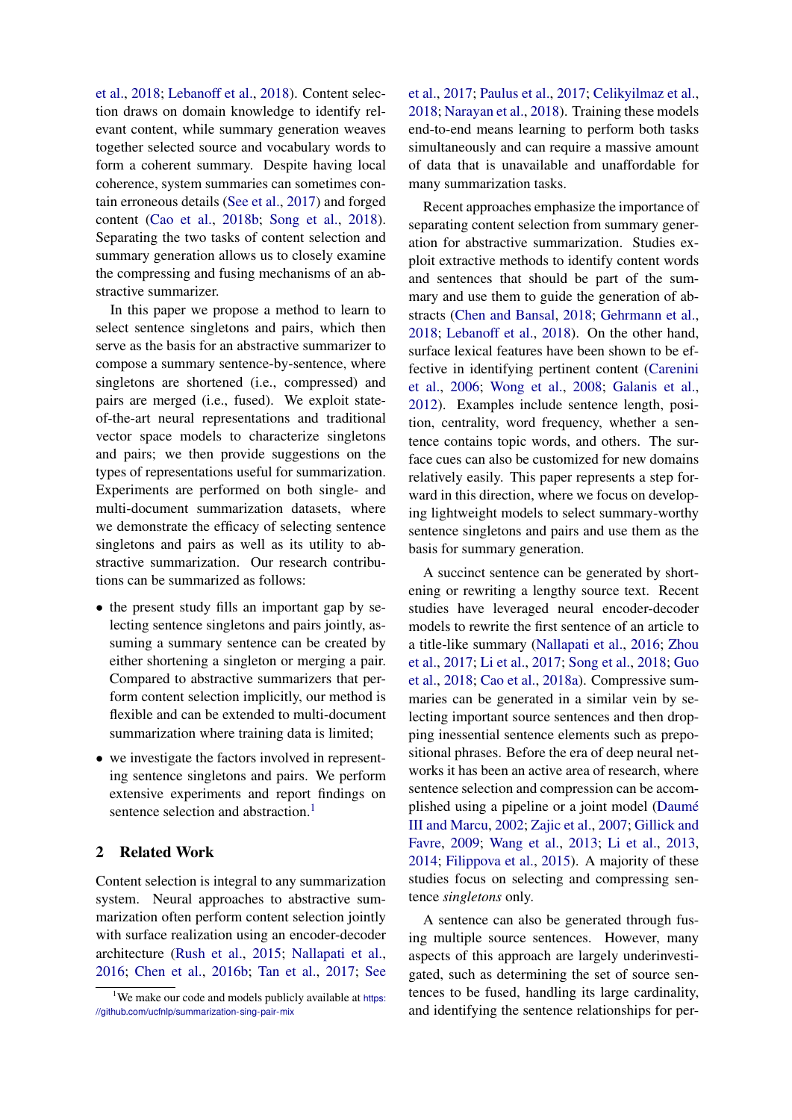[et al.,](#page-9-9) [2018;](#page-9-9) [Lebanoff et al.,](#page-9-10) [2018\)](#page-9-10). Content selection draws on domain knowledge to identify relevant content, while summary generation weaves together selected source and vocabulary words to form a coherent summary. Despite having local coherence, system summaries can sometimes contain erroneous details [\(See et al.,](#page-10-3) [2017\)](#page-10-3) and forged content [\(Cao et al.,](#page-8-2) [2018b;](#page-8-2) [Song et al.,](#page-10-4) [2018\)](#page-10-4). Separating the two tasks of content selection and summary generation allows us to closely examine the compressing and fusing mechanisms of an abstractive summarizer.

In this paper we propose a method to learn to select sentence singletons and pairs, which then serve as the basis for an abstractive summarizer to compose a summary sentence-by-sentence, where singletons are shortened (i.e., compressed) and pairs are merged (i.e., fused). We exploit stateof-the-art neural representations and traditional vector space models to characterize singletons and pairs; we then provide suggestions on the types of representations useful for summarization. Experiments are performed on both single- and multi-document summarization datasets, where we demonstrate the efficacy of selecting sentence singletons and pairs as well as its utility to abstractive summarization. Our research contributions can be summarized as follows:

- the present study fills an important gap by selecting sentence singletons and pairs jointly, assuming a summary sentence can be created by either shortening a singleton or merging a pair. Compared to abstractive summarizers that perform content selection implicitly, our method is flexible and can be extended to multi-document summarization where training data is limited;
- we investigate the factors involved in representing sentence singletons and pairs. We perform extensive experiments and report findings on sentence selection and abstraction.<sup>[1](#page-1-0)</sup>

## 2 Related Work

Content selection is integral to any summarization system. Neural approaches to abstractive summarization often perform content selection jointly with surface realization using an encoder-decoder architecture [\(Rush et al.,](#page-10-5) [2015;](#page-10-5) [Nallapati et al.,](#page-10-6) [2016;](#page-10-6) [Chen et al.,](#page-8-3) [2016b;](#page-8-3) [Tan et al.,](#page-10-7) [2017;](#page-10-7) [See](#page-10-3)

[et al.,](#page-10-3) [2017;](#page-10-3) [Paulus et al.,](#page-10-8) [2017;](#page-10-8) [Celikyilmaz et al.,](#page-8-4) [2018;](#page-8-4) [Narayan et al.,](#page-10-1) [2018\)](#page-10-1). Training these models end-to-end means learning to perform both tasks simultaneously and can require a massive amount of data that is unavailable and unaffordable for many summarization tasks.

Recent approaches emphasize the importance of separating content selection from summary generation for abstractive summarization. Studies exploit extractive methods to identify content words and sentences that should be part of the summary and use them to guide the generation of abstracts [\(Chen and Bansal,](#page-8-1) [2018;](#page-8-1) [Gehrmann et al.,](#page-9-9) [2018;](#page-9-9) [Lebanoff et al.,](#page-9-10) [2018\)](#page-9-10). On the other hand, surface lexical features have been shown to be effective in identifying pertinent content [\(Carenini](#page-8-5) [et al.,](#page-8-5) [2006;](#page-8-5) [Wong et al.,](#page-10-9) [2008;](#page-10-9) [Galanis et al.,](#page-9-11) [2012\)](#page-9-11). Examples include sentence length, position, centrality, word frequency, whether a sentence contains topic words, and others. The surface cues can also be customized for new domains relatively easily. This paper represents a step forward in this direction, where we focus on developing lightweight models to select summary-worthy sentence singletons and pairs and use them as the basis for summary generation.

A succinct sentence can be generated by shortening or rewriting a lengthy source text. Recent studies have leveraged neural encoder-decoder models to rewrite the first sentence of an article to a title-like summary [\(Nallapati et al.,](#page-10-6) [2016;](#page-10-6) [Zhou](#page-10-10) [et al.,](#page-10-10) [2017;](#page-10-10) [Li et al.,](#page-10-11) [2017;](#page-10-11) [Song et al.,](#page-10-4) [2018;](#page-10-4) [Guo](#page-9-12) [et al.,](#page-9-12) [2018;](#page-9-12) [Cao et al.,](#page-8-6) [2018a\)](#page-8-6). Compressive summaries can be generated in a similar vein by selecting important source sentences and then dropping inessential sentence elements such as prepositional phrases. Before the era of deep neural networks it has been an active area of research, where sentence selection and compression can be accomplished using a pipeline or a joint model (Daumé [III and Marcu,](#page-9-13) [2002;](#page-9-13) [Zajic et al.,](#page-10-12) [2007;](#page-10-12) [Gillick and](#page-9-1) [Favre,](#page-9-1) [2009;](#page-9-1) [Wang et al.,](#page-10-13) [2013;](#page-10-13) [Li et al.,](#page-9-14) [2013,](#page-9-14) [2014;](#page-10-14) [Filippova et al.,](#page-9-15) [2015\)](#page-9-15). A majority of these studies focus on selecting and compressing sentence *singletons* only.

A sentence can also be generated through fusing multiple source sentences. However, many aspects of this approach are largely underinvestigated, such as determining the set of source sentences to be fused, handling its large cardinality, and identifying the sentence relationships for per-

<span id="page-1-0"></span><sup>&</sup>lt;sup>1</sup>[We make our code and models publicly available at](#page-10-3) [https:](https://github.com/ucfnlp/summarization-sing-pair-mix) [//github.com/ucfnlp/summarization-sing-pair-mix](#page-10-3)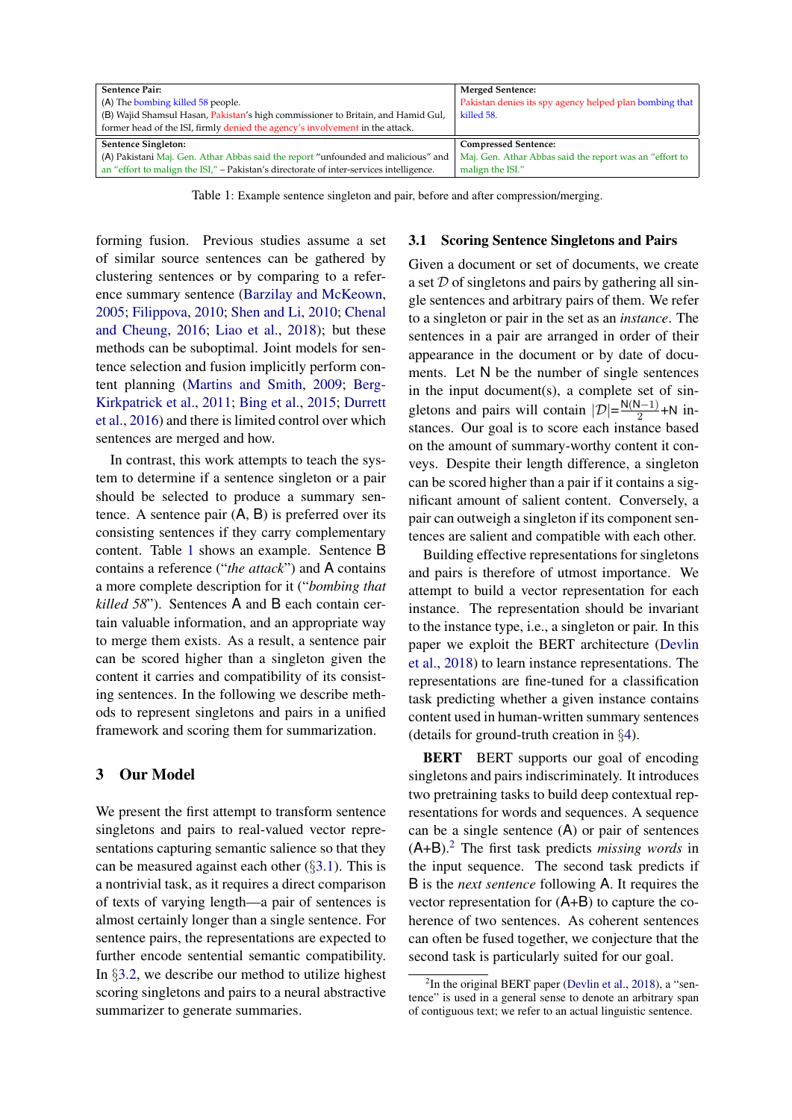<span id="page-2-0"></span>

| <b>Sentence Pair:</b>                                                                   | <b>Merged Sentence:</b>                                 |
|-----------------------------------------------------------------------------------------|---------------------------------------------------------|
| (A) The bombing killed 58 people.                                                       | Pakistan denies its spy agency helped plan bombing that |
| (B) Wajid Shamsul Hasan, Pakistan's high commissioner to Britain, and Hamid Gul,        | killed 58.                                              |
| former head of the ISI, firmly denied the agency's involvement in the attack.           |                                                         |
| <b>Sentence Singleton:</b>                                                              | <b>Compressed Sentence:</b>                             |
| (A) Pakistani Maj. Gen. Athar Abbas said the report "unfounded and malicious" and       | Maj. Gen. Athar Abbas said the report was an "effort to |
| an "effort to malign the ISI," - Pakistan's directorate of inter-services intelligence. | malign the ISI."                                        |

Table 1: Example sentence singleton and pair, before and after compression/merging.

forming fusion. Previous studies assume a set of similar source sentences can be gathered by clustering sentences or by comparing to a reference summary sentence [\(Barzilay and McKeown,](#page-8-7) [2005;](#page-8-7) [Filippova,](#page-9-7) [2010;](#page-9-7) [Shen and Li,](#page-10-15) [2010;](#page-10-15) [Chenal](#page-9-16) [and Cheung,](#page-9-16) [2016;](#page-9-16) [Liao et al.,](#page-10-16) [2018\)](#page-10-16); but these methods can be suboptimal. Joint models for sentence selection and fusion implicitly perform content planning [\(Martins and Smith,](#page-10-17) [2009;](#page-10-17) [Berg-](#page-8-8)[Kirkpatrick et al.,](#page-8-8) [2011;](#page-8-8) [Bing et al.,](#page-8-9) [2015;](#page-8-9) [Durrett](#page-9-17) [et al.,](#page-9-17) [2016\)](#page-9-17) and there is limited control over which sentences are merged and how.

In contrast, this work attempts to teach the system to determine if a sentence singleton or a pair should be selected to produce a summary sentence. A sentence pair (A, B) is preferred over its consisting sentences if they carry complementary content. Table [1](#page-2-0) shows an example. Sentence B contains a reference ("*the attack*") and A contains a more complete description for it ("*bombing that killed 58*"). Sentences A and B each contain certain valuable information, and an appropriate way to merge them exists. As a result, a sentence pair can be scored higher than a singleton given the content it carries and compatibility of its consisting sentences. In the following we describe methods to represent singletons and pairs in a unified framework and scoring them for summarization.

### 3 Our Model

We present the first attempt to transform sentence singletons and pairs to real-valued vector representations capturing semantic salience so that they can be measured against each other  $(\S 3.1)$  $(\S 3.1)$ . This is a nontrivial task, as it requires a direct comparison of texts of varying length—a pair of sentences is almost certainly longer than a single sentence. For sentence pairs, the representations are expected to further encode sentential semantic compatibility. In §[3.2,](#page-4-1) we describe our method to utilize highest scoring singletons and pairs to a neural abstractive summarizer to generate summaries.

### <span id="page-2-1"></span>3.1 Scoring Sentence Singletons and Pairs

Given a document or set of documents, we create a set  $D$  of singletons and pairs by gathering all single sentences and arbitrary pairs of them. We refer to a singleton or pair in the set as an *instance*. The sentences in a pair are arranged in order of their appearance in the document or by date of documents. Let N be the number of single sentences in the input document(s), a complete set of singletons and pairs will contain  $|\mathcal{D}| = \frac{N(N-1)}{2}$  $\frac{N-1}{2}$  +N instances. Our goal is to score each instance based on the amount of summary-worthy content it conveys. Despite their length difference, a singleton can be scored higher than a pair if it contains a significant amount of salient content. Conversely, a pair can outweigh a singleton if its component sentences are salient and compatible with each other.

Building effective representations for singletons and pairs is therefore of utmost importance. We attempt to build a vector representation for each instance. The representation should be invariant to the instance type, i.e., a singleton or pair. In this paper we exploit the BERT architecture [\(Devlin](#page-9-18) [et al.,](#page-9-18) [2018\)](#page-9-18) to learn instance representations. The representations are fine-tuned for a classification task predicting whether a given instance contains content used in human-written summary sentences (details for ground-truth creation in §[4\)](#page-4-0).

BERT BERT supports our goal of encoding singletons and pairs indiscriminately. It introduces two pretraining tasks to build deep contextual representations for words and sequences. A sequence can be a single sentence  $(A)$  or pair of sentences (A+B).[2](#page-2-2) The first task predicts *missing words* in the input sequence. The second task predicts if B is the *next sentence* following A. It requires the vector representation for (A+B) to capture the coherence of two sentences. As coherent sentences can often be fused together, we conjecture that the second task is particularly suited for our goal.

<span id="page-2-2"></span><sup>&</sup>lt;sup>2</sup>In the original BERT paper [\(Devlin et al.,](#page-9-18) [2018\)](#page-9-18), a "sentence" is used in a general sense to denote an arbitrary span of contiguous text; we refer to an actual linguistic sentence.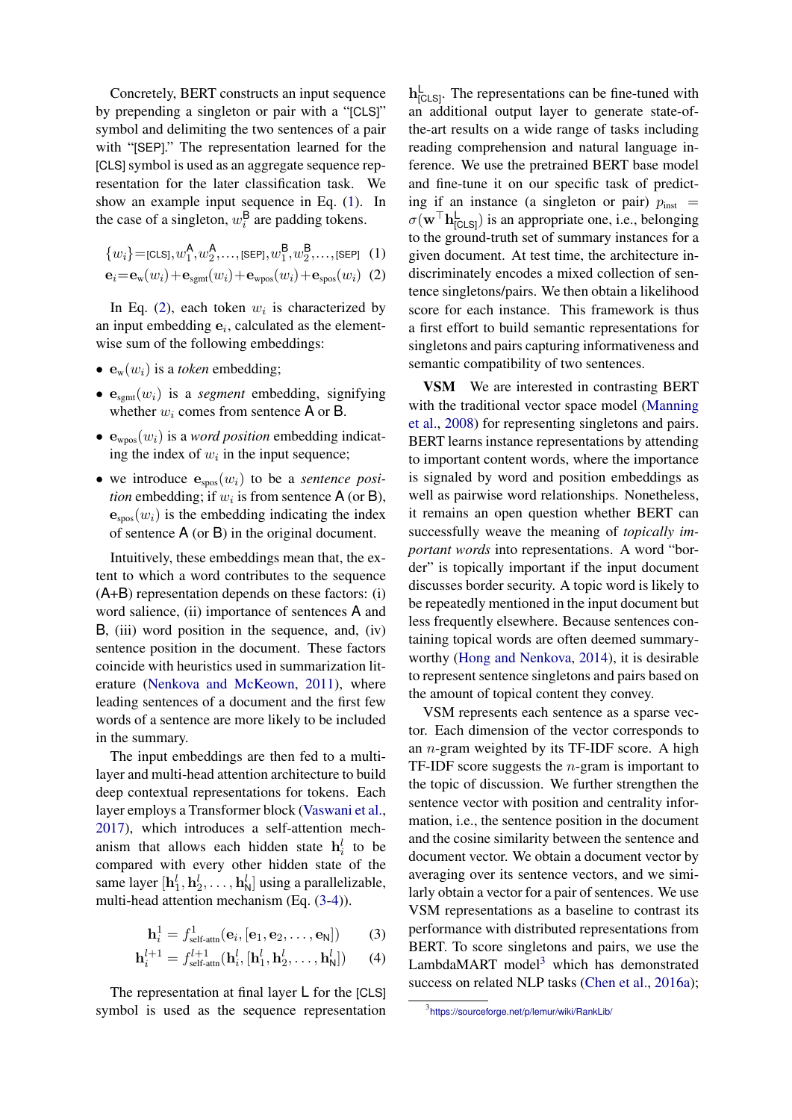Concretely, BERT constructs an input sequence by prepending a singleton or pair with a "[CLS]" symbol and delimiting the two sentences of a pair with "[SEP]." The representation learned for the [CLS] symbol is used as an aggregate sequence representation for the later classification task. We show an example input sequence in Eq. [\(1\)](#page-2-1). In the case of a singleton,  $w_i^{\mathsf{B}}$  are padding tokens.

$$
\{w_i\} = \text{[CLS]}, w_1^{\mathsf{A}}, w_2^{\mathsf{A}}, \dots, \text{[SEP]}, w_1^{\mathsf{B}}, w_2^{\mathsf{B}}, \dots, \text{[SEP]} \quad (1)
$$

$$
\mathbf{e}_i = \mathbf{e}_{\rm w}(w_i) + \mathbf{e}_{\rm sgnt}(w_i) + \mathbf{e}_{\rm wpos}(w_i) + \mathbf{e}_{\rm spos}(w_i)
$$
 (2)

In Eq. [\(2\)](#page-2-1), each token  $w_i$  is characterized by an input embedding  $e_i$ , calculated as the elementwise sum of the following embeddings:

- $\mathbf{e}_{\rm w}(w_i)$  is a *token* embedding;
- $\bullet$   $\mathbf{e}_{\text{sem}}(w_i)$  is a *segment* embedding, signifying whether  $w_i$  comes from sentence A or B.
- $\bullet$   $\mathbf{e}_{\text{wpos}}(w_i)$  is a *word position* embedding indicating the index of  $w_i$  in the input sequence;
- we introduce  $e_{\text{spos}}(w_i)$  to be a *sentence position* embedding; if  $w_i$  is from sentence  $A$  (or  $B$ ),  $\mathbf{e}_{\text{spos}}(w_i)$  is the embedding indicating the index of sentence A (or B) in the original document.

Intuitively, these embeddings mean that, the extent to which a word contributes to the sequence (A+B) representation depends on these factors: (i) word salience, (ii) importance of sentences A and B, (iii) word position in the sequence, and, (iv) sentence position in the document. These factors coincide with heuristics used in summarization literature [\(Nenkova and McKeown,](#page-10-18) [2011\)](#page-10-18), where leading sentences of a document and the first few words of a sentence are more likely to be included in the summary.

The input embeddings are then fed to a multilayer and multi-head attention architecture to build deep contextual representations for tokens. Each layer employs a Transformer block [\(Vaswani et al.,](#page-10-19) [2017\)](#page-10-19), which introduces a self-attention mechanism that allows each hidden state  $h_i^l$  to be compared with every other hidden state of the same layer  $[\mathbf{h}_1^l, \mathbf{h}_2^l, \dots, \mathbf{h}_N^l]$  using a parallelizable, multi-head attention mechanism (Eq. [\(3-4\)](#page-2-1)).

$$
\mathbf{h}_i^1 = f_{\text{self-attn}}^1(\mathbf{e}_i, [\mathbf{e}_1, \mathbf{e}_2, \dots, \mathbf{e}_N]) \qquad (3)
$$

$$
\mathbf{h}_i^{l+1} = f_{\text{self-attn}}^{l+1}(\mathbf{h}_i^l, [\mathbf{h}_1^l, \mathbf{h}_2^l, \dots, \mathbf{h}_N^l]) \qquad (4)
$$

The representation at final layer L for the [CLS] symbol is used as the sequence representation

 $h_{[CLS]}^{\mathsf{L}}$ . The representations can be fine-tuned with an additional output layer to generate state-ofthe-art results on a wide range of tasks including reading comprehension and natural language inference. We use the pretrained BERT base model and fine-tune it on our specific task of predicting if an instance (a singleton or pair)  $p_{\text{inst}}$  =  $\sigma(\mathbf{w}^{\top} \mathbf{h}_{[CLS]}^{\mathsf{L}})$  is an appropriate one, i.e., belonging to the ground-truth set of summary instances for a given document. At test time, the architecture indiscriminately encodes a mixed collection of sentence singletons/pairs. We then obtain a likelihood score for each instance. This framework is thus a first effort to build semantic representations for singletons and pairs capturing informativeness and semantic compatibility of two sentences.

VSM We are interested in contrasting BERT with the traditional vector space model [\(Manning](#page-10-20) [et al.,](#page-10-20) [2008\)](#page-10-20) for representing singletons and pairs. BERT learns instance representations by attending to important content words, where the importance is signaled by word and position embeddings as well as pairwise word relationships. Nonetheless, it remains an open question whether BERT can successfully weave the meaning of *topically important words* into representations. A word "border" is topically important if the input document discusses border security. A topic word is likely to be repeatedly mentioned in the input document but less frequently elsewhere. Because sentences containing topical words are often deemed summaryworthy [\(Hong and Nenkova,](#page-9-19) [2014\)](#page-9-19), it is desirable to represent sentence singletons and pairs based on the amount of topical content they convey.

VSM represents each sentence as a sparse vector. Each dimension of the vector corresponds to an  $n$ -gram weighted by its TF-IDF score. A high TF-IDF score suggests the  $n$ -gram is important to the topic of discussion. We further strengthen the sentence vector with position and centrality information, i.e., the sentence position in the document and the cosine similarity between the sentence and document vector. We obtain a document vector by averaging over its sentence vectors, and we similarly obtain a vector for a pair of sentences. We use VSM representations as a baseline to contrast its performance with distributed representations from BERT. To score singletons and pairs, we use the LambdaMART model<sup>[3](#page-3-0)</sup> which has demonstrated success on related NLP tasks [\(Chen et al.,](#page-8-10) [2016a\)](#page-8-10);

<span id="page-3-0"></span><sup>3</sup> <https://sourceforge.net/p/lemur/wiki/RankLib/>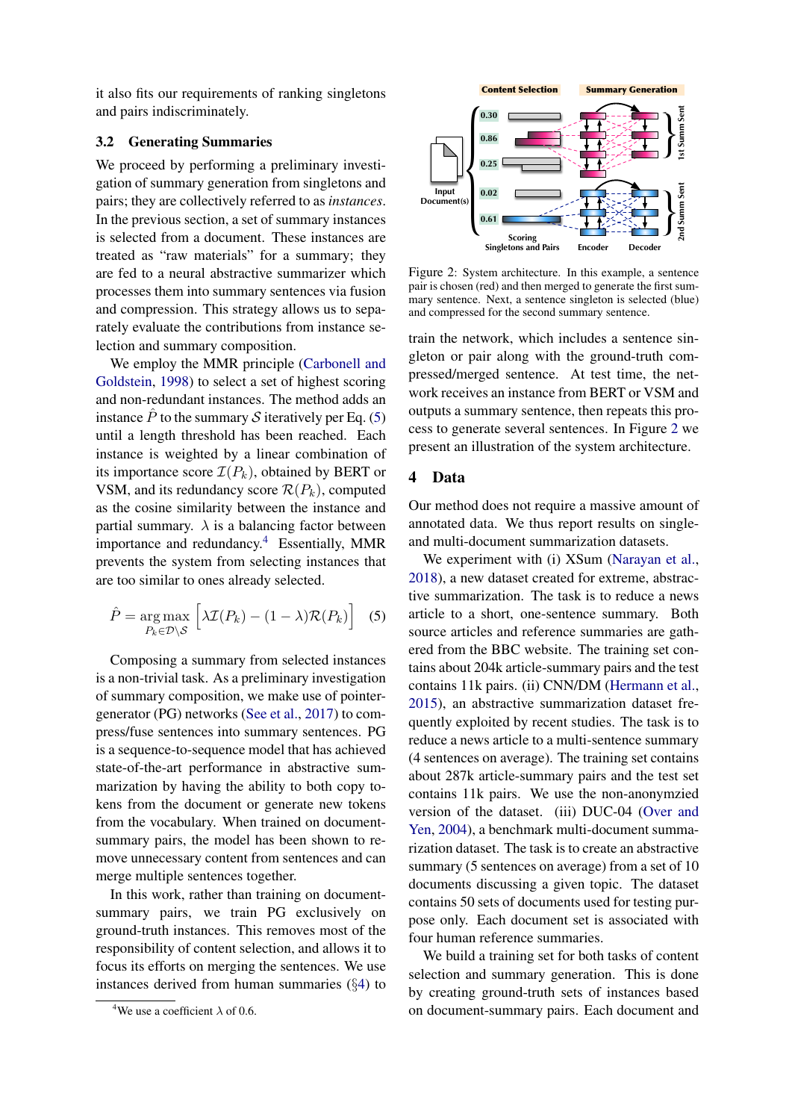it also fits our requirements of ranking singletons and pairs indiscriminately.

### <span id="page-4-1"></span>3.2 Generating Summaries

We proceed by performing a preliminary investigation of summary generation from singletons and pairs; they are collectively referred to as *instances*. In the previous section, a set of summary instances is selected from a document. These instances are treated as "raw materials" for a summary; they are fed to a neural abstractive summarizer which processes them into summary sentences via fusion and compression. This strategy allows us to separately evaluate the contributions from instance selection and summary composition.

We employ the MMR principle [\(Carbonell and](#page-8-0) [Goldstein,](#page-8-0) [1998\)](#page-8-0) to select a set of highest scoring and non-redundant instances. The method adds an instance  $\hat{P}$  to the summary  $\hat{S}$  iteratively per Eq. [\(5\)](#page-4-1) until a length threshold has been reached. Each instance is weighted by a linear combination of its importance score  $\mathcal{I}(P_k)$ , obtained by BERT or VSM, and its redundancy score  $\mathcal{R}(P_k)$ , computed as the cosine similarity between the instance and partial summary.  $\lambda$  is a balancing factor between importance and redundancy.[4](#page-4-2) Essentially, MMR prevents the system from selecting instances that are too similar to ones already selected. 15. They are collectively referred to as *instances*, bareadocone at to strainers with the previous sector summary instances coefficient of non-mary instances are about and strainer in fect to a neural abstractive summar

$$
\hat{P} = \underset{P_k \in \mathcal{D} \backslash \mathcal{S}}{\arg \max} \left[ \lambda \mathcal{I}(P_k) - (1 - \lambda) \mathcal{R}(P_k) \right] \quad (5)
$$

Composing a summary from selected instances is a non-trivial task. As a preliminary investigation of summary composition, we make use of pointergenerator (PG) networks [\(See et al.,](#page-10-3) [2017\)](#page-10-3) to compress/fuse sentences into summary sentences. PG is a sequence-to-sequence model that has achieved state-of-the-art performance in abstractive summarization by having the ability to both copy tokens from the document or generate new tokens from the vocabulary. When trained on documentsummary pairs, the model has been shown to remove unnecessary content from sentences and can merge multiple sentences together.

In this work, rather than training on documentsummary pairs, we train PG exclusively on ground-truth instances. This removes most of the responsibility of content selection, and allows it to focus its efforts on merging the sentences. We use instances derived from human summaries (§[4\)](#page-4-0) to

<span id="page-4-3"></span>

Figure 2: System architecture. In this example, a sentence pair is chosen (red) and then merged to generate the first summary sentence. Next, a sentence singleton is selected (blue) and compressed for the second summary sentence.

train the network, which includes a sentence singleton or pair along with the ground-truth compressed/merged sentence. At test time, the network receives an instance from BERT or VSM and outputs a summary sentence, then repeats this process to generate several sentences. In Figure [2](#page-4-3) we present an illustration of the system architecture.

### <span id="page-4-0"></span>4 Data

Our method does not require a massive amount of annotated data. We thus report results on singleand multi-document summarization datasets.

We experiment with (i) XSum [\(Narayan et al.,](#page-10-1) [2018\)](#page-10-1), a new dataset created for extreme, abstractive summarization. The task is to reduce a news article to a short, one-sentence summary. Both source articles and reference summaries are gathered from the BBC website. The training set contains about 204k article-summary pairs and the test contains 11k pairs. (ii) CNN/DM [\(Hermann et al.,](#page-9-0) [2015\)](#page-9-0), an abstractive summarization dataset frequently exploited by recent studies. The task is to reduce a news article to a multi-sentence summary (4 sentences on average). The training set contains about 287k article-summary pairs and the test set contains 11k pairs. We use the non-anonymzied version of the dataset. (iii) DUC-04 [\(Over and](#page-10-0) [Yen,](#page-10-0) [2004\)](#page-10-0), a benchmark multi-document summarization dataset. The task is to create an abstractive summary (5 sentences on average) from a set of 10 documents discussing a given topic. The dataset contains 50 sets of documents used for testing purpose only. Each document set is associated with four human reference summaries.

We build a training set for both tasks of content selection and summary generation. This is done by creating ground-truth sets of instances based on document-summary pairs. Each document and

<span id="page-4-2"></span>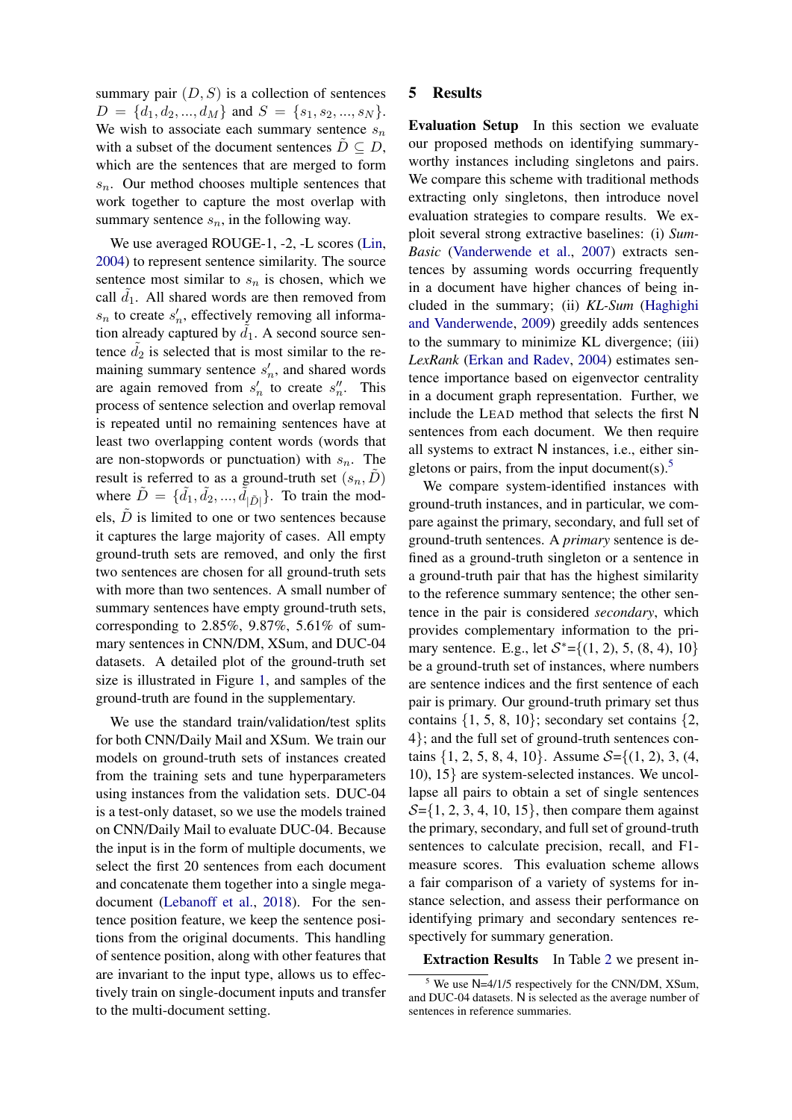summary pair  $(D, S)$  is a collection of sentences  $D = \{d_1, d_2, ..., d_M\}$  and  $S = \{s_1, s_2, ..., s_N\}.$ We wish to associate each summary sentence  $s_n$ with a subset of the document sentences  $D \subseteq D$ , which are the sentences that are merged to form  $s_n$ . Our method chooses multiple sentences that work together to capture the most overlap with summary sentence  $s_n$ , in the following way.

We use averaged ROUGE-1, -2, -L scores [\(Lin,](#page-10-21) [2004\)](#page-10-21) to represent sentence similarity. The source sentence most similar to  $s_n$  is chosen, which we call  $d_1$ . All shared words are then removed from  $s_n$  to create  $s'_n$ , effectively removing all information already captured by  $\tilde{d}_1$ . A second source sentence  $\tilde{d}_2$  is selected that is most similar to the remaining summary sentence  $s'_n$ , and shared words are again removed from  $s'_n$  to create  $s''_n$ . This process of sentence selection and overlap removal is repeated until no remaining sentences have at least two overlapping content words (words that are non-stopwords or punctuation) with  $s_n$ . The result is referred to as a ground-truth set  $(s_n, D)$ where  $\tilde{D} = \{\tilde{d}_1, \tilde{d}_2, ..., \tilde{d}_{|\tilde{D}|}\}\$ . To train the models,  $\tilde{D}$  is limited to one or two sentences because it captures the large majority of cases. All empty ground-truth sets are removed, and only the first two sentences are chosen for all ground-truth sets with more than two sentences. A small number of summary sentences have empty ground-truth sets, corresponding to  $2.85\%$ ,  $9.87\%$ ,  $5.61\%$  of summary sentences in CNN/DM, XSum, and DUC-04 datasets. A detailed plot of the ground-truth set size is illustrated in Figure [1,](#page-0-0) and samples of the ground-truth are found in the supplementary.

We use the standard train/validation/test splits for both CNN/Daily Mail and XSum. We train our models on ground-truth sets of instances created from the training sets and tune hyperparameters using instances from the validation sets. DUC-04 is a test-only dataset, so we use the models trained on CNN/Daily Mail to evaluate DUC-04. Because the input is in the form of multiple documents, we select the first 20 sentences from each document and concatenate them together into a single megadocument [\(Lebanoff et al.,](#page-9-10) [2018\)](#page-9-10). For the sentence position feature, we keep the sentence positions from the original documents. This handling of sentence position, along with other features that are invariant to the input type, allows us to effectively train on single-document inputs and transfer to the multi-document setting.

### 5 Results

Evaluation Setup In this section we evaluate our proposed methods on identifying summaryworthy instances including singletons and pairs. We compare this scheme with traditional methods extracting only singletons, then introduce novel evaluation strategies to compare results. We exploit several strong extractive baselines: (i) *Sum-Basic* [\(Vanderwende et al.,](#page-10-22) [2007\)](#page-10-22) extracts sentences by assuming words occurring frequently in a document have higher chances of being included in the summary; (ii) *KL-Sum* [\(Haghighi](#page-9-20) [and Vanderwende,](#page-9-20) [2009\)](#page-9-20) greedily adds sentences to the summary to minimize KL divergence; (iii) *LexRank* [\(Erkan and Radev,](#page-9-21) [2004\)](#page-9-21) estimates sentence importance based on eigenvector centrality in a document graph representation. Further, we include the LEAD method that selects the first N sentences from each document. We then require all systems to extract N instances, i.e., either sin-gletons or pairs, from the input document(s).<sup>[5](#page-5-0)</sup>

We compare system-identified instances with ground-truth instances, and in particular, we compare against the primary, secondary, and full set of ground-truth sentences. A *primary* sentence is defined as a ground-truth singleton or a sentence in a ground-truth pair that has the highest similarity to the reference summary sentence; the other sentence in the pair is considered *secondary*, which provides complementary information to the primary sentence. E.g., let  $S^* = \{(1, 2), 5, (8, 4), 10\}$ be a ground-truth set of instances, where numbers are sentence indices and the first sentence of each pair is primary. Our ground-truth primary set thus contains  $\{1, 5, 8, 10\}$ ; secondary set contains  $\{2,$ 4}; and the full set of ground-truth sentences contains  $\{1, 2, 5, 8, 4, 10\}$ . Assume  $S = \{(1, 2), 3, (4, 1)\}$ 10), 15} are system-selected instances. We uncollapse all pairs to obtain a set of single sentences  $S=\{1, 2, 3, 4, 10, 15\}$ , then compare them against the primary, secondary, and full set of ground-truth sentences to calculate precision, recall, and F1 measure scores. This evaluation scheme allows a fair comparison of a variety of systems for instance selection, and assess their performance on identifying primary and secondary sentences respectively for summary generation.

Extraction Results In Table [2](#page-6-0) we present in-

<span id="page-5-0"></span>We use N=4/1/5 respectively for the CNN/DM, XSum, and DUC-04 datasets. N is selected as the average number of sentences in reference summaries.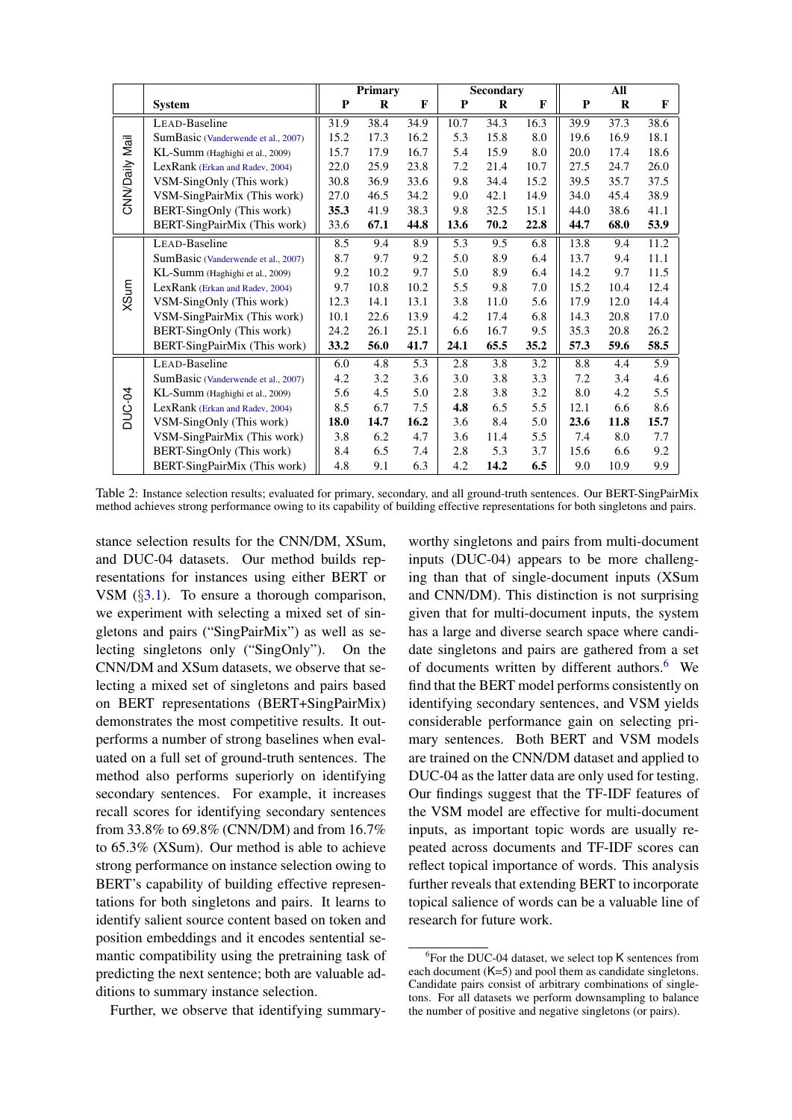<span id="page-6-0"></span>

|                |                                     |      | <b>Primary</b> |      |      | <b>Secondary</b> |      |      | All  |              |
|----------------|-------------------------------------|------|----------------|------|------|------------------|------|------|------|--------------|
|                | <b>System</b>                       | P    | $\bf{R}$       | F    | P    | R                | F    | P    | R    | $\mathbf{F}$ |
|                | LEAD-Baseline                       | 31.9 | 38.4           | 34.9 | 10.7 | 34.3             | 16.3 | 39.9 | 37.3 | 38.6         |
|                | SumBasic (Vanderwende et al., 2007) | 15.2 | 17.3           | 16.2 | 5.3  | 15.8             | 8.0  | 19.6 | 16.9 | 18.1         |
| CNN/Daily Mail | KL-Summ (Haghighi et al., 2009)     | 15.7 | 17.9           | 16.7 | 5.4  | 15.9             | 8.0  | 20.0 | 17.4 | 18.6         |
|                | LexRank (Erkan and Radev, 2004)     | 22.0 | 25.9           | 23.8 | 7.2  | 21.4             | 10.7 | 27.5 | 24.7 | 26.0         |
|                | VSM-SingOnly (This work)            | 30.8 | 36.9           | 33.6 | 9.8  | 34.4             | 15.2 | 39.5 | 35.7 | 37.5         |
|                | VSM-SingPairMix (This work)         | 27.0 | 46.5           | 34.2 | 9.0  | 42.1             | 14.9 | 34.0 | 45.4 | 38.9         |
|                | BERT-SingOnly (This work)           | 35.3 | 41.9           | 38.3 | 9.8  | 32.5             | 15.1 | 44.0 | 38.6 | 41.1         |
|                | BERT-SingPairMix (This work)        | 33.6 | 67.1           | 44.8 | 13.6 | 70.2             | 22.8 | 44.7 | 68.0 | 53.9         |
|                | LEAD-Baseline                       | 8.5  | 9.4            | 8.9  | 5.3  | 9.5              | 6.8  | 13.8 | 9.4  | 11.2         |
|                | SumBasic (Vanderwende et al., 2007) | 8.7  | 9.7            | 9.2  | 5.0  | 8.9              | 6.4  | 13.7 | 9.4  | 11.1         |
|                | KL-Summ (Haghighi et al., 2009)     | 9.2  | 10.2           | 9.7  | 5.0  | 8.9              | 6.4  | 14.2 | 9.7  | 11.5         |
|                | LexRank (Erkan and Radev, 2004)     | 9.7  | 10.8           | 10.2 | 5.5  | 9.8              | 7.0  | 15.2 | 10.4 | 12.4         |
| XSum           | VSM-SingOnly (This work)            | 12.3 | 14.1           | 13.1 | 3.8  | 11.0             | 5.6  | 17.9 | 12.0 | 14.4         |
|                | VSM-SingPairMix (This work)         | 10.1 | 22.6           | 13.9 | 4.2  | 17.4             | 6.8  | 14.3 | 20.8 | 17.0         |
|                | BERT-SingOnly (This work)           | 24.2 | 26.1           | 25.1 | 6.6  | 16.7             | 9.5  | 35.3 | 20.8 | 26.2         |
|                | BERT-SingPairMix (This work)        | 33.2 | 56.0           | 41.7 | 24.1 | 65.5             | 35.2 | 57.3 | 59.6 | 58.5         |
|                | LEAD-Baseline                       | 6.0  | 4.8            | 5.3  | 2.8  | 3.8              | 3.2  | 8.8  | 4.4  | 5.9          |
|                | SumBasic (Vanderwende et al., 2007) | 4.2  | 3.2            | 3.6  | 3.0  | 3.8              | 3.3  | 7.2  | 3.4  | 4.6          |
|                | KL-Summ (Haghighi et al., 2009)     | 5.6  | 4.5            | 5.0  | 2.8  | 3.8              | 3.2  | 8.0  | 4.2  | 5.5          |
| DUC-04         | LexRank (Erkan and Radev, 2004)     | 8.5  | 6.7            | 7.5  | 4.8  | 6.5              | 5.5  | 12.1 | 6.6  | 8.6          |
|                | VSM-SingOnly (This work)            | 18.0 | 14.7           | 16.2 | 3.6  | 8.4              | 5.0  | 23.6 | 11.8 | 15.7         |
|                | VSM-SingPairMix (This work)         | 3.8  | 6.2            | 4.7  | 3.6  | 11.4             | 5.5  | 7.4  | 8.0  | 7.7          |
|                | BERT-SingOnly (This work)           | 8.4  | 6.5            | 7.4  | 2.8  | 5.3              | 3.7  | 15.6 | 6.6  | 9.2          |
|                | BERT-SingPairMix (This work)        | 4.8  | 9.1            | 6.3  | 4.2  | 14.2             | 6.5  | 9.0  | 10.9 | 9.9          |

Table 2: Instance selection results; evaluated for primary, secondary, and all ground-truth sentences. Our BERT-SingPairMix method achieves strong performance owing to its capability of building effective representations for both singletons and pairs.

stance selection results for the CNN/DM, XSum, and DUC-04 datasets. Our method builds representations for instances using either BERT or VSM (§[3.1\)](#page-2-1). To ensure a thorough comparison, we experiment with selecting a mixed set of singletons and pairs ("SingPairMix") as well as selecting singletons only ("SingOnly"). On the CNN/DM and XSum datasets, we observe that selecting a mixed set of singletons and pairs based on BERT representations (BERT+SingPairMix) demonstrates the most competitive results. It outperforms a number of strong baselines when evaluated on a full set of ground-truth sentences. The method also performs superiorly on identifying secondary sentences. For example, it increases recall scores for identifying secondary sentences from 33.8% to 69.8% (CNN/DM) and from 16.7% to 65.3% (XSum). Our method is able to achieve strong performance on instance selection owing to BERT's capability of building effective representations for both singletons and pairs. It learns to identify salient source content based on token and position embeddings and it encodes sentential semantic compatibility using the pretraining task of predicting the next sentence; both are valuable additions to summary instance selection.

Further, we observe that identifying summary-

worthy singletons and pairs from multi-document inputs (DUC-04) appears to be more challenging than that of single-document inputs (XSum and CNN/DM). This distinction is not surprising given that for multi-document inputs, the system has a large and diverse search space where candidate singletons and pairs are gathered from a set of documents written by different authors.<sup>[6](#page-6-1)</sup> We find that the BERT model performs consistently on identifying secondary sentences, and VSM yields considerable performance gain on selecting primary sentences. Both BERT and VSM models are trained on the CNN/DM dataset and applied to DUC-04 as the latter data are only used for testing. Our findings suggest that the TF-IDF features of the VSM model are effective for multi-document inputs, as important topic words are usually repeated across documents and TF-IDF scores can reflect topical importance of words. This analysis further reveals that extending BERT to incorporate topical salience of words can be a valuable line of research for future work.

<span id="page-6-1"></span><sup>&</sup>lt;sup>6</sup>For the DUC-04 dataset, we select top K sentences from each document  $(K=5)$  and pool them as candidate singletons. Candidate pairs consist of arbitrary combinations of singletons. For all datasets we perform downsampling to balance the number of positive and negative singletons (or pairs).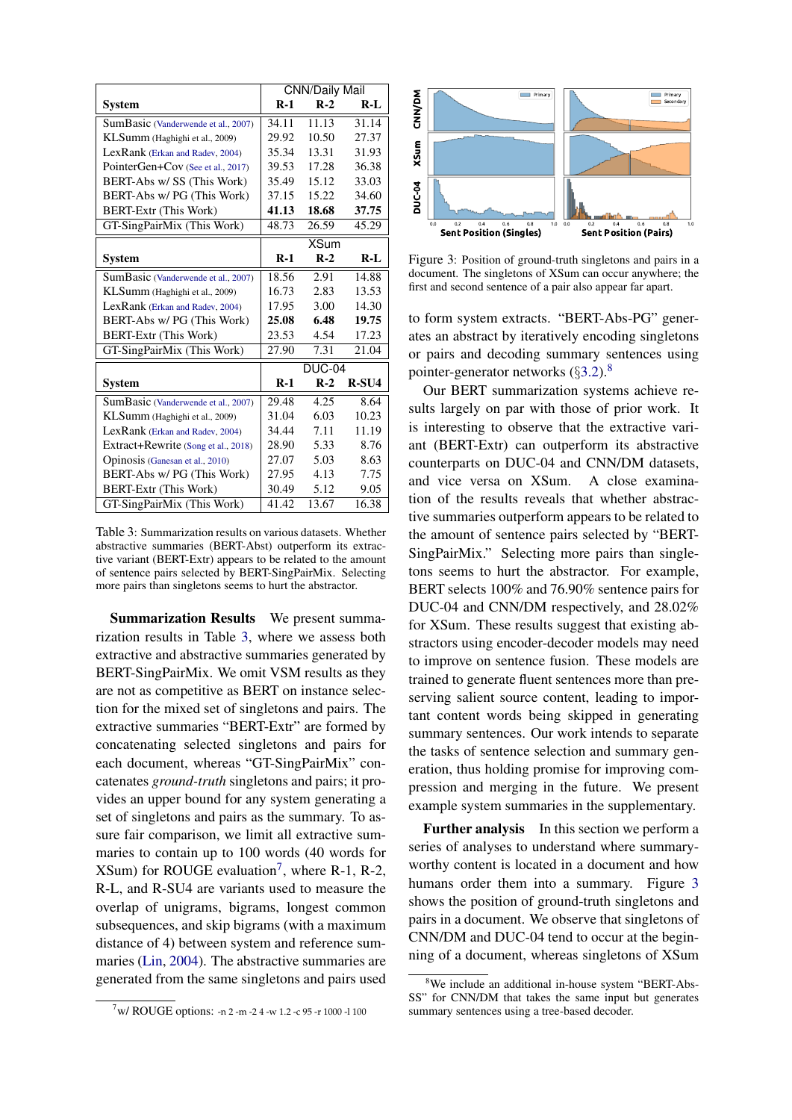<span id="page-7-0"></span>

|                                     | <b>CNN/Daily Mail</b> |             |       |
|-------------------------------------|-----------------------|-------------|-------|
| Svstem                              | $R-1$                 | $R-2$       | $R-I$ |
| SumBasic (Vanderwende et al., 2007) | 34.11                 | 11.13       | 31.14 |
| KLSumm (Haghighi et al., 2009)      | 29.92                 | 10.50       | 27.37 |
| LexRank (Erkan and Radev, 2004)     | 35.34                 | 13.31       | 31.93 |
| PointerGen+Cov (See et al., 2017)   | 39.53                 | 17.28       | 36.38 |
| BERT-Abs w/ SS (This Work)          | 35.49                 | 15.12       | 33.03 |
| BERT-Abs w/ PG (This Work)          | 37.15                 | 15.22       | 34.60 |
| <b>BERT-Extr (This Work)</b>        | 41.13                 | 18.68       | 37.75 |
| GT-SingPairMix (This Work)          | 48.73                 | 26.59       | 45.29 |
|                                     |                       | <b>XSum</b> |       |
| <b>System</b>                       | $R-1$                 | $R-2$       | $R-L$ |
| SumBasic (Vanderwende et al., 2007) | 18.56                 | 2.91        | 14.88 |
| KLSumm (Haghighi et al., 2009)      | 16.73                 | 2.83        | 13.53 |
| LexRank (Erkan and Radev, 2004)     | 17.95                 | 3.00        | 14.30 |
| BERT-Abs w/ PG (This Work)          | 25.08                 | 6.48        | 19.75 |
| <b>BERT-Extr (This Work)</b>        | 23.53                 | 4.54        | 17.23 |
| GT-SingPairMix (This Work)          | 27.90                 | 7.31        | 21.04 |
|                                     | <b>DUC-04</b>         |             |       |
| <b>System</b>                       | $R-1$                 | $R-2$       | R-SU4 |
| SumBasic (Vanderwende et al., 2007) | 29.48                 | 4.25        | 8.64  |
| KLSumm (Haghighi et al., 2009)      | 31.04                 | 6.03        | 10.23 |
| LexRank (Erkan and Radev, 2004)     | 34.44                 | 7.11        | 11.19 |
| Extract+Rewrite (Song et al., 2018) | 28.90                 | 5.33        | 8.76  |
| Opinosis (Ganesan et al., 2010)     | 27.07                 | 5.03        | 8.63  |
| BERT-Abs w/ PG (This Work)          | 27.95                 | 4.13        | 7.75  |
| <b>BERT-Extr (This Work)</b>        | 30.49                 | 5.12        | 9.05  |
| GT-SingPairMix (This Work)          | 41.42                 | 13.67       | 16.38 |

Table 3: Summarization results on various datasets. Whether abstractive summaries (BERT-Abst) outperform its extractive variant (BERT-Extr) appears to be related to the amount of sentence pairs selected by BERT-SingPairMix. Selecting more pairs than singletons seems to hurt the abstractor.

Summarization Results We present summarization results in Table [3,](#page-7-0) where we assess both extractive and abstractive summaries generated by BERT-SingPairMix. We omit VSM results as they are not as competitive as BERT on instance selection for the mixed set of singletons and pairs. The extractive summaries "BERT-Extr" are formed by concatenating selected singletons and pairs for each document, whereas "GT-SingPairMix" concatenates *ground-truth* singletons and pairs; it provides an upper bound for any system generating a set of singletons and pairs as the summary. To assure fair comparison, we limit all extractive summaries to contain up to 100 words (40 words for  $XSum$ ) for ROUGE evaluation<sup>[7](#page-7-1)</sup>, where R-1, R-2, R-L, and R-SU4 are variants used to measure the overlap of unigrams, bigrams, longest common subsequences, and skip bigrams (with a maximum distance of 4) between system and reference summaries [\(Lin,](#page-10-21) [2004\)](#page-10-21). The abstractive summaries are generated from the same singletons and pairs used

<span id="page-7-1"></span>

<span id="page-7-3"></span>

Figure 3: Position of ground-truth singletons and pairs in a document. The singletons of XSum can occur anywhere; the first and second sentence of a pair also appear far apart.

to form system extracts. "BERT-Abs-PG" generates an abstract by iteratively encoding singletons or pairs and decoding summary sentences using pointer-generator networks  $(\S3.2)^8$  $(\S3.2)^8$  $(\S3.2)^8$  $(\S3.2)^8$ 

Our BERT summarization systems achieve results largely on par with those of prior work. It is interesting to observe that the extractive variant (BERT-Extr) can outperform its abstractive counterparts on DUC-04 and CNN/DM datasets, and vice versa on XSum. A close examination of the results reveals that whether abstractive summaries outperform appears to be related to the amount of sentence pairs selected by "BERT-SingPairMix." Selecting more pairs than singletons seems to hurt the abstractor. For example, BERT selects 100% and 76.90% sentence pairs for DUC-04 and CNN/DM respectively, and 28.02% for XSum. These results suggest that existing abstractors using encoder-decoder models may need to improve on sentence fusion. These models are trained to generate fluent sentences more than preserving salient source content, leading to important content words being skipped in generating summary sentences. Our work intends to separate the tasks of sentence selection and summary generation, thus holding promise for improving compression and merging in the future. We present example system summaries in the supplementary.

Further analysis In this section we perform a series of analyses to understand where summaryworthy content is located in a document and how humans order them into a summary. Figure [3](#page-7-3) shows the position of ground-truth singletons and pairs in a document. We observe that singletons of CNN/DM and DUC-04 tend to occur at the beginning of a document, whereas singletons of XSum

<span id="page-7-2"></span><sup>8</sup>We include an additional in-house system "BERT-Abs-SS" for CNN/DM that takes the same input but generates summary sentences using a tree-based decoder.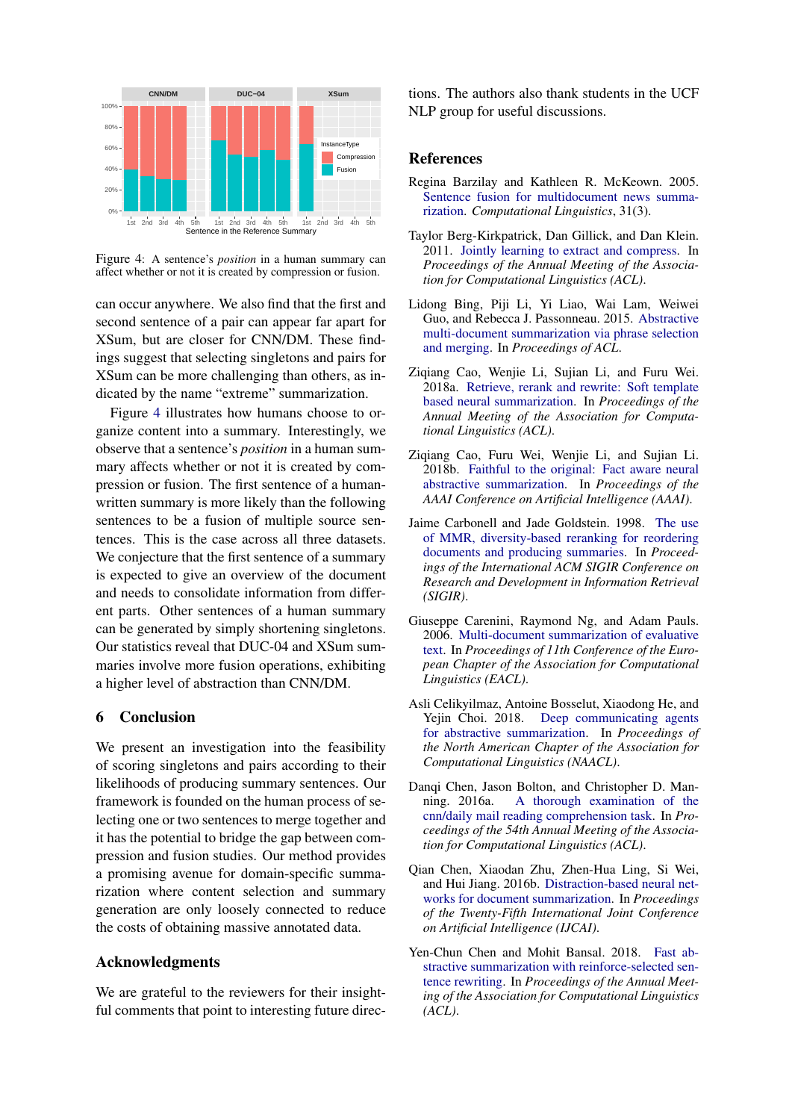<span id="page-8-11"></span>

Figure 4: A sentence's *position* in a human summary can affect whether or not it is created by compression or fusion.

can occur anywhere. We also find that the first and second sentence of a pair can appear far apart for XSum, but are closer for CNN/DM. These findings suggest that selecting singletons and pairs for XSum can be more challenging than others, as indicated by the name "extreme" summarization.

Figure [4](#page-8-11) illustrates how humans choose to organize content into a summary. Interestingly, we observe that a sentence's *position* in a human summary affects whether or not it is created by compression or fusion. The first sentence of a humanwritten summary is more likely than the following sentences to be a fusion of multiple source sentences. This is the case across all three datasets. We conjecture that the first sentence of a summary is expected to give an overview of the document and needs to consolidate information from different parts. Other sentences of a human summary can be generated by simply shortening singletons. Our statistics reveal that DUC-04 and XSum summaries involve more fusion operations, exhibiting a higher level of abstraction than CNN/DM.

### 6 Conclusion

We present an investigation into the feasibility of scoring singletons and pairs according to their likelihoods of producing summary sentences. Our framework is founded on the human process of selecting one or two sentences to merge together and it has the potential to bridge the gap between compression and fusion studies. Our method provides a promising avenue for domain-specific summarization where content selection and summary generation are only loosely connected to reduce the costs of obtaining massive annotated data.

#### Acknowledgments

We are grateful to the reviewers for their insightful comments that point to interesting future directions. The authors also thank students in the UCF NLP group for useful discussions.

#### **References**

- <span id="page-8-7"></span>Regina Barzilay and Kathleen R. McKeown. 2005. [Sentence fusion for multidocument news summa](https://www.mitpressjournals.org/doi/pdf/10.1162/089120105774321091)[rization.](https://www.mitpressjournals.org/doi/pdf/10.1162/089120105774321091) *Computational Linguistics*, 31(3).
- <span id="page-8-8"></span>Taylor Berg-Kirkpatrick, Dan Gillick, and Dan Klein. 2011. [Jointly learning to extract and compress.](https://dl.acm.org/citation.cfm?id=2002534) In *Proceedings of the Annual Meeting of the Association for Computational Linguistics (ACL)*.
- <span id="page-8-9"></span>Lidong Bing, Piji Li, Yi Liao, Wai Lam, Weiwei Guo, and Rebecca J. Passonneau. 2015. [Abstractive](https://www.cs.cmu.edu/~lbing/pub/acl2015-bing.pdf) [multi-document summarization via phrase selection](https://www.cs.cmu.edu/~lbing/pub/acl2015-bing.pdf) [and merging.](https://www.cs.cmu.edu/~lbing/pub/acl2015-bing.pdf) In *Proceedings of ACL*.
- <span id="page-8-6"></span>Ziqiang Cao, Wenjie Li, Sujian Li, and Furu Wei. 2018a. [Retrieve, rerank and rewrite: Soft template](https://aclweb.org/anthology/P18-1015) [based neural summarization.](https://aclweb.org/anthology/P18-1015) In *Proceedings of the Annual Meeting of the Association for Computational Linguistics (ACL)*.
- <span id="page-8-2"></span>Ziqiang Cao, Furu Wei, Wenjie Li, and Sujian Li. 2018b. [Faithful to the original: Fact aware neural](https://arxiv.org/abs/1711.04434) [abstractive summarization.](https://arxiv.org/abs/1711.04434) In *Proceedings of the AAAI Conference on Artificial Intelligence (AAAI)*.
- <span id="page-8-0"></span>Jaime Carbonell and Jade Goldstein. 1998. [The use](https://dl.acm.org/citation.cfm?id=291025) [of MMR, diversity-based reranking for reordering](https://dl.acm.org/citation.cfm?id=291025) [documents and producing summaries.](https://dl.acm.org/citation.cfm?id=291025) In *Proceedings of the International ACM SIGIR Conference on Research and Development in Information Retrieval (SIGIR)*.
- <span id="page-8-5"></span>Giuseppe Carenini, Raymond Ng, and Adam Pauls. 2006. [Multi-document summarization of evaluative](https://www.aclweb.org/anthology/E06-1039) [text.](https://www.aclweb.org/anthology/E06-1039) In *Proceedings of 11th Conference of the European Chapter of the Association for Computational Linguistics (EACL)*.
- <span id="page-8-4"></span>Asli Celikyilmaz, Antoine Bosselut, Xiaodong He, and Yejin Choi. 2018. [Deep communicating agents](https://arxiv.org/pdf/1803.10357.pdf) [for abstractive summarization.](https://arxiv.org/pdf/1803.10357.pdf) In *Proceedings of the North American Chapter of the Association for Computational Linguistics (NAACL)*.
- <span id="page-8-10"></span>Danqi Chen, Jason Bolton, and Christopher D. Manning. 2016a. [A thorough examination of the](https://www.aclweb.org/anthology/P16-1223) [cnn/daily mail reading comprehension task.](https://www.aclweb.org/anthology/P16-1223) In *Proceedings of the 54th Annual Meeting of the Association for Computational Linguistics (ACL)*.
- <span id="page-8-3"></span>Qian Chen, Xiaodan Zhu, Zhen-Hua Ling, Si Wei, and Hui Jiang. 2016b. [Distraction-based neural net](https://arxiv.org/abs/1610.08462)[works for document summarization.](https://arxiv.org/abs/1610.08462) In *Proceedings of the Twenty-Fifth International Joint Conference on Artificial Intelligence (IJCAI)*.
- <span id="page-8-1"></span>Yen-Chun Chen and Mohit Bansal. 2018. [Fast ab](https://arxiv.org/abs/1805.11080)[stractive summarization with reinforce-selected sen](https://arxiv.org/abs/1805.11080)[tence rewriting.](https://arxiv.org/abs/1805.11080) In *Proceedings of the Annual Meeting of the Association for Computational Linguistics (ACL)*.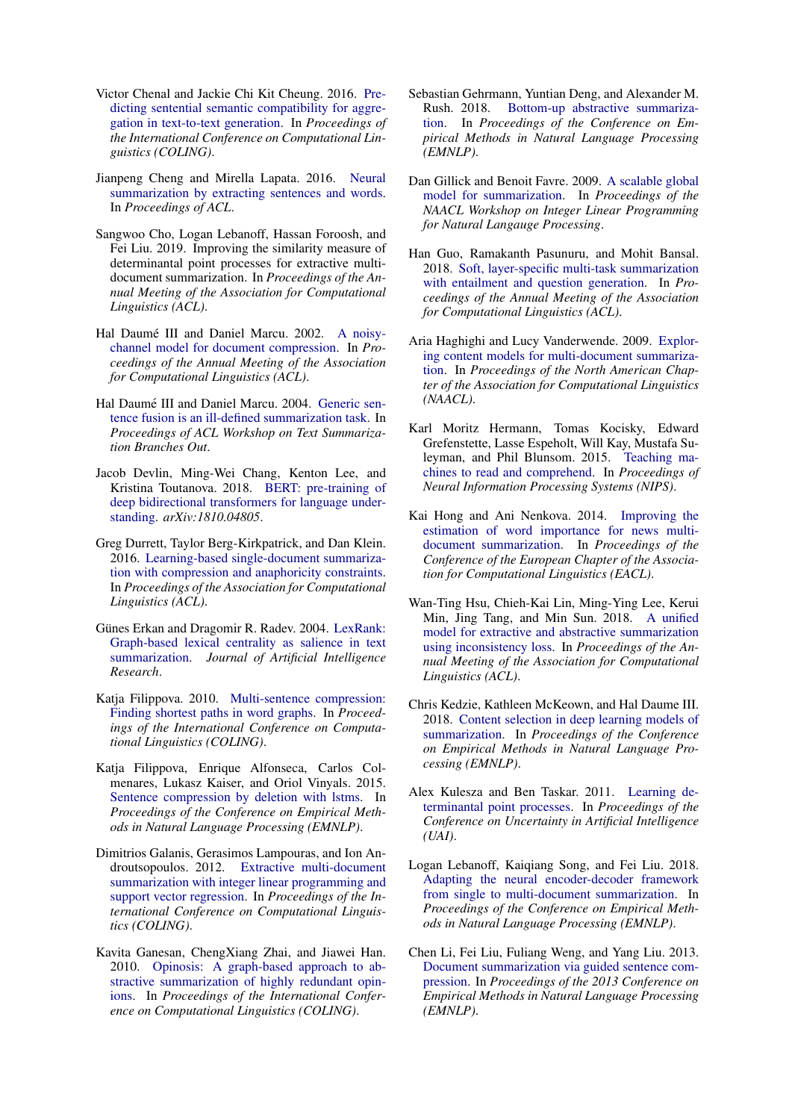- <span id="page-9-16"></span>Victor Chenal and Jackie Chi Kit Cheung. 2016. [Pre](https://www.aclweb.org/anthology/C16-1101)[dicting sentential semantic compatibility for aggre](https://www.aclweb.org/anthology/C16-1101)[gation in text-to-text generation.](https://www.aclweb.org/anthology/C16-1101) In *Proceedings of the International Conference on Computational Linguistics (COLING)*.
- <span id="page-9-4"></span>Jianpeng Cheng and Mirella Lapata. 2016. [Neural](https://www.aclweb.org/anthology/P16-1046) [summarization by extracting sentences and words.](https://www.aclweb.org/anthology/P16-1046) In *Proceedings of ACL*.
- <span id="page-9-3"></span>Sangwoo Cho, Logan Lebanoff, Hassan Foroosh, and Fei Liu. 2019. Improving the similarity measure of determinantal point processes for extractive multidocument summarization. In *Proceedings of the Annual Meeting of the Association for Computational Linguistics (ACL)*.
- <span id="page-9-13"></span>Hal Daumé III and Daniel Marcu. 2002. [A noisy](https://www.aclweb.org/anthology/P02-1057)[channel model for document compression.](https://www.aclweb.org/anthology/P02-1057) In *Proceedings of the Annual Meeting of the Association for Computational Linguistics (ACL)*.
- <span id="page-9-6"></span>Hal Daumé III and Daniel Marcu. 2004. [Generic sen](https://www.aclweb.org/anthology/W04-1016)[tence fusion is an ill-defined summarization task.](https://www.aclweb.org/anthology/W04-1016) In *Proceedings of ACL Workshop on Text Summarization Branches Out*.
- <span id="page-9-18"></span>Jacob Devlin, Ming-Wei Chang, Kenton Lee, and Kristina Toutanova. 2018. [BERT: pre-training of](https://arxiv.org/abs/1810.04805) [deep bidirectional transformers for language under](https://arxiv.org/abs/1810.04805)[standing.](https://arxiv.org/abs/1810.04805) *arXiv:1810.04805*.
- <span id="page-9-17"></span>Greg Durrett, Taylor Berg-Kirkpatrick, and Dan Klein. 2016. [Learning-based single-document summariza](https://arxiv.org/abs/1603.08887)[tion with compression and anaphoricity constraints.](https://arxiv.org/abs/1603.08887) In *Proceedings of the Association for Computational Linguistics (ACL)*.
- <span id="page-9-21"></span>Günes Erkan and Dragomir R. Radev. 2004. [LexRank:](https://www.aaai.org/Papers/JAIR/Vol22/JAIR-2214.pdf) [Graph-based lexical centrality as salience in text](https://www.aaai.org/Papers/JAIR/Vol22/JAIR-2214.pdf) [summarization.](https://www.aaai.org/Papers/JAIR/Vol22/JAIR-2214.pdf) *Journal of Artificial Intelligence Research*.
- <span id="page-9-7"></span>Katja Filippova. 2010. [Multi-sentence compression:](https://www.aclweb.org/anthology/C10-1037) [Finding shortest paths in word graphs.](https://www.aclweb.org/anthology/C10-1037) In *Proceedings of the International Conference on Computational Linguistics (COLING)*.
- <span id="page-9-15"></span>Katja Filippova, Enrique Alfonseca, Carlos Colmenares, Lukasz Kaiser, and Oriol Vinyals. 2015. [Sentence compression by deletion with lstms.](https://static.googleusercontent.com/media/research.google.com/en//pubs/archive/43852.pdf) In *Proceedings of the Conference on Empirical Methods in Natural Language Processing (EMNLP)*.
- <span id="page-9-11"></span>Dimitrios Galanis, Gerasimos Lampouras, and Ion Androutsopoulos. 2012. [Extractive multi-document](https://www.aclweb.org/anthology/C12-1056) [summarization with integer linear programming and](https://www.aclweb.org/anthology/C12-1056) [support vector regression.](https://www.aclweb.org/anthology/C12-1056) In *Proceedings of the International Conference on Computational Linguistics (COLING)*.
- <span id="page-9-22"></span>Kavita Ganesan, ChengXiang Zhai, and Jiawei Han. 2010. [Opinosis: A graph-based approach to ab](https://www.aclweb.org/anthology/C10-1039)[stractive summarization of highly redundant opin](https://www.aclweb.org/anthology/C10-1039)[ions.](https://www.aclweb.org/anthology/C10-1039) In *Proceedings of the International Conference on Computational Linguistics (COLING)*.
- <span id="page-9-9"></span>Sebastian Gehrmann, Yuntian Deng, and Alexander M. Rush. 2018. [Bottom-up abstractive summariza](https://arxiv.org/abs/1808.10792)[tion.](https://arxiv.org/abs/1808.10792) In *Proceedings of the Conference on Empirical Methods in Natural Language Processing (EMNLP)*.
- <span id="page-9-1"></span>Dan Gillick and Benoit Favre. 2009. [A scalable global](https://dl.acm.org/citation.cfm?id=1611640) [model for summarization.](https://dl.acm.org/citation.cfm?id=1611640) In *Proceedings of the NAACL Workshop on Integer Linear Programming for Natural Langauge Processing*.
- <span id="page-9-12"></span>Han Guo, Ramakanth Pasunuru, and Mohit Bansal. 2018. [Soft, layer-specific multi-task summarization](https://arxiv.org/abs/1805.11004) [with entailment and question generation.](https://arxiv.org/abs/1805.11004) In *Proceedings of the Annual Meeting of the Association for Computational Linguistics (ACL)*.
- <span id="page-9-20"></span>Aria Haghighi and Lucy Vanderwende. 2009. [Explor](https://www.aclweb.org/anthology/N09-1041)[ing content models for multi-document summariza](https://www.aclweb.org/anthology/N09-1041)[tion.](https://www.aclweb.org/anthology/N09-1041) In *Proceedings of the North American Chapter of the Association for Computational Linguistics (NAACL)*.
- <span id="page-9-0"></span>Karl Moritz Hermann, Tomas Kocisky, Edward Grefenstette, Lasse Espeholt, Will Kay, Mustafa Suleyman, and Phil Blunsom. 2015. [Teaching ma](https://arxiv.org/abs/1506.03340)[chines to read and comprehend.](https://arxiv.org/abs/1506.03340) In *Proceedings of Neural Information Processing Systems (NIPS)*.
- <span id="page-9-19"></span>Kai Hong and Ani Nenkova. 2014. [Improving the](https://www.aclweb.org/anthology/E14-1075) [estimation of word importance for news multi](https://www.aclweb.org/anthology/E14-1075)[document summarization.](https://www.aclweb.org/anthology/E14-1075) In *Proceedings of the Conference of the European Chapter of the Association for Computational Linguistics (EACL)*.
- <span id="page-9-8"></span>Wan-Ting Hsu, Chieh-Kai Lin, Ming-Ying Lee, Kerui Min, Jing Tang, and Min Sun. 2018. [A unified](https://arxiv.org/abs/1805.06266) [model for extractive and abstractive summarization](https://arxiv.org/abs/1805.06266) [using inconsistency loss.](https://arxiv.org/abs/1805.06266) In *Proceedings of the Annual Meeting of the Association for Computational Linguistics (ACL)*.
- <span id="page-9-5"></span>Chris Kedzie, Kathleen McKeown, and Hal Daume III. 2018. [Content selection in deep learning models of](https://arxiv.org/abs/1810.12343) [summarization.](https://arxiv.org/abs/1810.12343) In *Proceedings of the Conference on Empirical Methods in Natural Language Processing (EMNLP)*.
- <span id="page-9-2"></span>Alex Kulesza and Ben Taskar. 2011. [Learning de](https://dl.acm.org/citation.cfm?id=3020597)[terminantal point processes.](https://dl.acm.org/citation.cfm?id=3020597) In *Proceedings of the Conference on Uncertainty in Artificial Intelligence (UAI)*.
- <span id="page-9-10"></span>Logan Lebanoff, Kaiqiang Song, and Fei Liu. 2018. [Adapting the neural encoder-decoder framework](https://aclweb.org/anthology/D18-1446) [from single to multi-document summarization.](https://aclweb.org/anthology/D18-1446) In *Proceedings of the Conference on Empirical Methods in Natural Language Processing (EMNLP)*.
- <span id="page-9-14"></span>Chen Li, Fei Liu, Fuliang Weng, and Yang Liu. 2013. [Document summarization via guided sentence com](https://www.aclweb.org/anthology/D13-1047)[pression.](https://www.aclweb.org/anthology/D13-1047) In *Proceedings of the 2013 Conference on Empirical Methods in Natural Language Processing (EMNLP)*.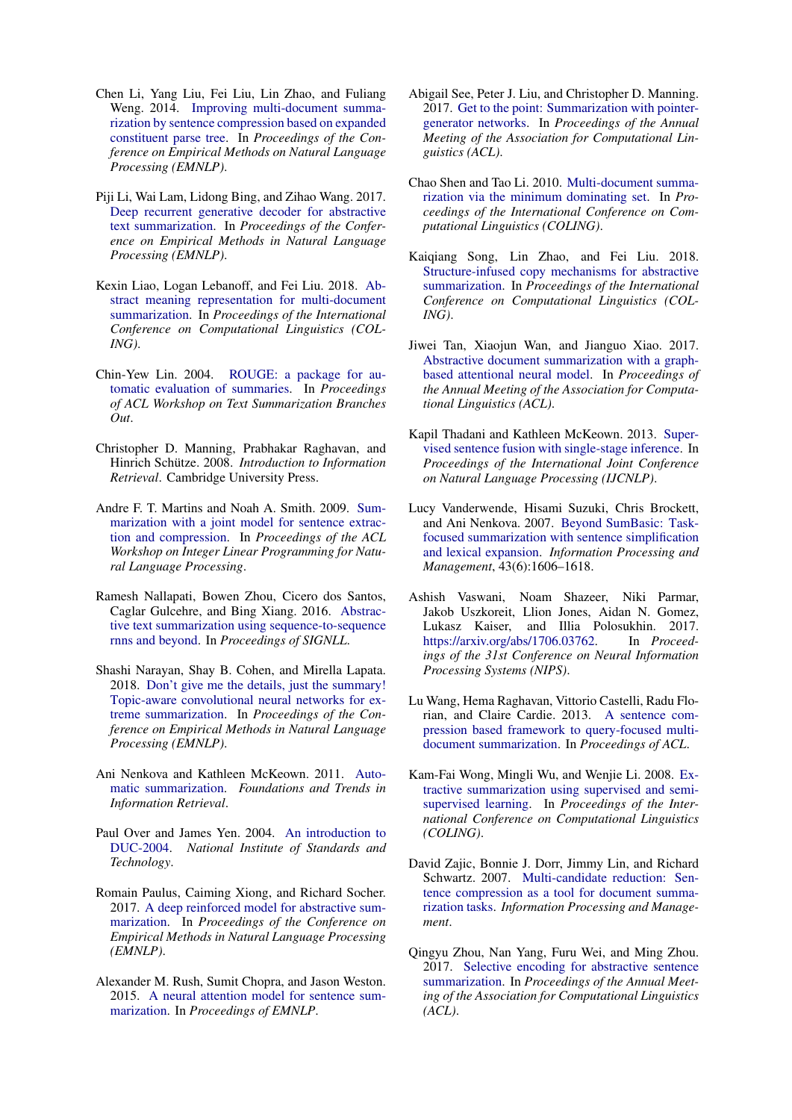- <span id="page-10-14"></span>Chen Li, Yang Liu, Fei Liu, Lin Zhao, and Fuliang Weng. 2014. [Improving multi-document summa](https://www.aclweb.org/anthology/D14-1076)[rization by sentence compression based on expanded](https://www.aclweb.org/anthology/D14-1076) [constituent parse tree.](https://www.aclweb.org/anthology/D14-1076) In *Proceedings of the Conference on Empirical Methods on Natural Language Processing (EMNLP)*.
- <span id="page-10-11"></span>Piji Li, Wai Lam, Lidong Bing, and Zihao Wang. 2017. [Deep recurrent generative decoder for abstractive](https://www.aclweb.org/anthology/D17-1222) [text summarization.](https://www.aclweb.org/anthology/D17-1222) In *Proceedings of the Conference on Empirical Methods in Natural Language Processing (EMNLP)*.
- <span id="page-10-16"></span>Kexin Liao, Logan Lebanoff, and Fei Liu. 2018. [Ab](https://arxiv.org/abs/1806.05655)[stract meaning representation for multi-document](https://arxiv.org/abs/1806.05655) [summarization.](https://arxiv.org/abs/1806.05655) In *Proceedings of the International Conference on Computational Linguistics (COL-ING)*.
- <span id="page-10-21"></span>Chin-Yew Lin. 2004. [ROUGE: a package for au](https://www.aclweb.org/anthology/W04-1013)[tomatic evaluation of summaries.](https://www.aclweb.org/anthology/W04-1013) In *Proceedings of ACL Workshop on Text Summarization Branches Out*.
- <span id="page-10-20"></span>Christopher D. Manning, Prabhakar Raghavan, and Hinrich Schütze. 2008. Introduction to Information *Retrieval*. Cambridge University Press.
- <span id="page-10-17"></span>Andre F. T. Martins and Noah A. Smith. 2009. [Sum](https://www.aclweb.org/anthology/W09-1801)[marization with a joint model for sentence extrac](https://www.aclweb.org/anthology/W09-1801)[tion and compression.](https://www.aclweb.org/anthology/W09-1801) In *Proceedings of the ACL Workshop on Integer Linear Programming for Natural Language Processing*.
- <span id="page-10-6"></span>Ramesh Nallapati, Bowen Zhou, Cicero dos Santos, Caglar Gulcehre, and Bing Xiang. 2016. [Abstrac](https://arxiv.org/abs/1602.06023)[tive text summarization using sequence-to-sequence](https://arxiv.org/abs/1602.06023) [rnns and beyond.](https://arxiv.org/abs/1602.06023) In *Proceedings of SIGNLL*.
- <span id="page-10-1"></span>Shashi Narayan, Shay B. Cohen, and Mirella Lapata. 2018. [Don't give me the details, just the summary!](https://arxiv.org/abs/1808.08745) [Topic-aware convolutional neural networks for ex](https://arxiv.org/abs/1808.08745)[treme summarization.](https://arxiv.org/abs/1808.08745) In *Proceedings of the Conference on Empirical Methods in Natural Language Processing (EMNLP)*.
- <span id="page-10-18"></span>Ani Nenkova and Kathleen McKeown. 2011. [Auto](https://www.nowpublishers.com/article/Details/INR-015)[matic summarization.](https://www.nowpublishers.com/article/Details/INR-015) *Foundations and Trends in Information Retrieval*.
- <span id="page-10-0"></span>Paul Over and James Yen. 2004. [An introduction to](https://duc.nist.gov/pubs/2004slides/duc2004.intro.pdf) [DUC-2004.](https://duc.nist.gov/pubs/2004slides/duc2004.intro.pdf) *National Institute of Standards and Technology*.
- <span id="page-10-8"></span>Romain Paulus, Caiming Xiong, and Richard Socher. 2017. [A deep reinforced model for abstractive sum](https://arxiv.org/abs/1705.04304)[marization.](https://arxiv.org/abs/1705.04304) In *Proceedings of the Conference on Empirical Methods in Natural Language Processing (EMNLP)*.
- <span id="page-10-5"></span>Alexander M. Rush, Sumit Chopra, and Jason Weston. 2015. [A neural attention model for sentence sum](https://www.aclweb.org/anthology/D15-1044)[marization.](https://www.aclweb.org/anthology/D15-1044) In *Proceedings of EMNLP*.
- <span id="page-10-3"></span>Abigail See, Peter J. Liu, and Christopher D. Manning. 2017. [Get to the point: Summarization with pointer](https://arxiv.org/abs/1704.04368)[generator networks.](https://arxiv.org/abs/1704.04368) In *Proceedings of the Annual Meeting of the Association for Computational Linguistics (ACL)*.
- <span id="page-10-15"></span>Chao Shen and Tao Li. 2010. [Multi-document summa](https://www.aclweb.org/anthology/C10-1111)[rization via the minimum dominating set.](https://www.aclweb.org/anthology/C10-1111) In *Proceedings of the International Conference on Computational Linguistics (COLING)*.
- <span id="page-10-4"></span>Kaiqiang Song, Lin Zhao, and Fei Liu. 2018. [Structure-infused copy mechanisms for abstractive](https://aclweb.org/anthology/C18-1146) [summarization.](https://aclweb.org/anthology/C18-1146) In *Proceedings of the International Conference on Computational Linguistics (COL-ING)*.
- <span id="page-10-7"></span>Jiwei Tan, Xiaojun Wan, and Jianguo Xiao. 2017. [Abstractive document summarization with a graph](https://www.aclweb.org/anthology/P17-1108)[based attentional neural model.](https://www.aclweb.org/anthology/P17-1108) In *Proceedings of the Annual Meeting of the Association for Computational Linguistics (ACL)*.
- <span id="page-10-2"></span>Kapil Thadani and Kathleen McKeown. 2013. [Super](https://www.aclweb.org/anthology/I13-1198)[vised sentence fusion with single-stage inference.](https://www.aclweb.org/anthology/I13-1198) In *Proceedings of the International Joint Conference on Natural Language Processing (IJCNLP)*.
- <span id="page-10-22"></span>Lucy Vanderwende, Hisami Suzuki, Chris Brockett, and Ani Nenkova. 2007. [Beyond SumBasic: Task](https://www.cis.upenn.edu/~nenkova/papers/ipm.pdf)[focused summarization with sentence simplification](https://www.cis.upenn.edu/~nenkova/papers/ipm.pdf) [and lexical expansion.](https://www.cis.upenn.edu/~nenkova/papers/ipm.pdf) *Information Processing and Management*, 43(6):1606–1618.
- <span id="page-10-19"></span>Ashish Vaswani, Noam Shazeer, Niki Parmar, Jakob Uszkoreit, Llion Jones, Aidan N. Gomez, Lukasz Kaiser, and Illia Polosukhin. 2017. [https://arxiv.org/abs/1706.03762.](https://arxiv.org/abs/1706.03762) In *Proceedings of the 31st Conference on Neural Information Processing Systems (NIPS)*.
- <span id="page-10-13"></span>Lu Wang, Hema Raghavan, Vittorio Castelli, Radu Florian, and Claire Cardie. 2013. [A sentence com](https://arxiv.org/abs/1606.07548)[pression based framework to query-focused multi](https://arxiv.org/abs/1606.07548)[document summarization.](https://arxiv.org/abs/1606.07548) In *Proceedings of ACL*.
- <span id="page-10-9"></span>Kam-Fai Wong, Mingli Wu, and Wenjie Li. 2008. [Ex](https://www.aclweb.org/anthology/C08-1124)[tractive summarization using supervised and semi](https://www.aclweb.org/anthology/C08-1124)[supervised learning.](https://www.aclweb.org/anthology/C08-1124) In *Proceedings of the International Conference on Computational Linguistics (COLING)*.
- <span id="page-10-12"></span>David Zajic, Bonnie J. Dorr, Jimmy Lin, and Richard Schwartz. 2007. [Multi-candidate reduction: Sen](http://users.umiacs.umd.edu/~jimmylin/publications/Zajic_etal_IPM2007.pdf)[tence compression as a tool for document summa](http://users.umiacs.umd.edu/~jimmylin/publications/Zajic_etal_IPM2007.pdf)[rization tasks.](http://users.umiacs.umd.edu/~jimmylin/publications/Zajic_etal_IPM2007.pdf) *Information Processing and Management*.
- <span id="page-10-10"></span>Qingyu Zhou, Nan Yang, Furu Wei, and Ming Zhou. 2017. [Selective encoding for abstractive sentence](https://arxiv.org/abs/1704.07073) [summarization.](https://arxiv.org/abs/1704.07073) In *Proceedings of the Annual Meeting of the Association for Computational Linguistics (ACL)*.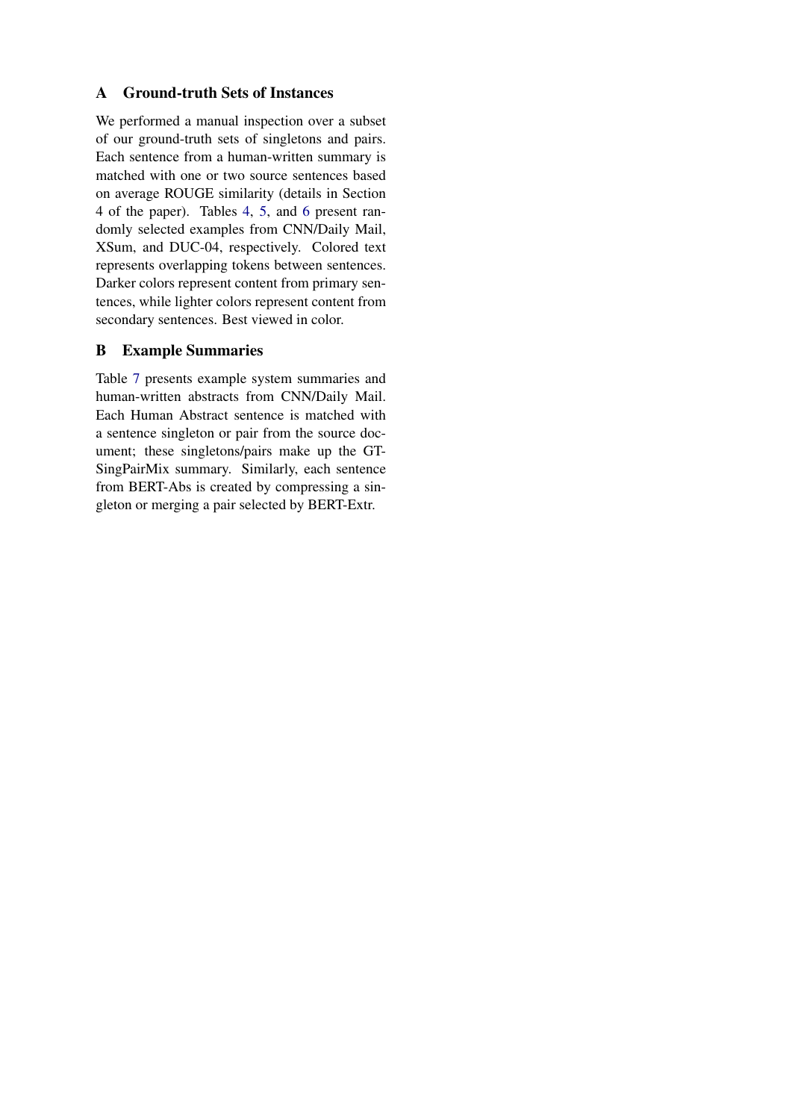# A Ground-truth Sets of Instances

We performed a manual inspection over a subset of our ground-truth sets of singletons and pairs. Each sentence from a human-written summary is matched with one or two source sentences based on average ROUGE similarity (details in Section 4 of the paper). Tables [4,](#page-12-0) [5,](#page-12-1) and [6](#page-13-0) present randomly selected examples from CNN/Daily Mail, XSum, and DUC-04, respectively. Colored text represents overlapping tokens between sentences. Darker colors represent content from primary sentences, while lighter colors represent content from secondary sentences. Best viewed in color.

# B Example Summaries

Table [7](#page-14-0) presents example system summaries and human-written abstracts from CNN/Daily Mail. Each Human Abstract sentence is matched with a sentence singleton or pair from the source document; these singletons/pairs make up the GT-SingPairMix summary. Similarly, each sentence from BERT-Abs is created by compressing a singleton or merging a pair selected by BERT-Extr.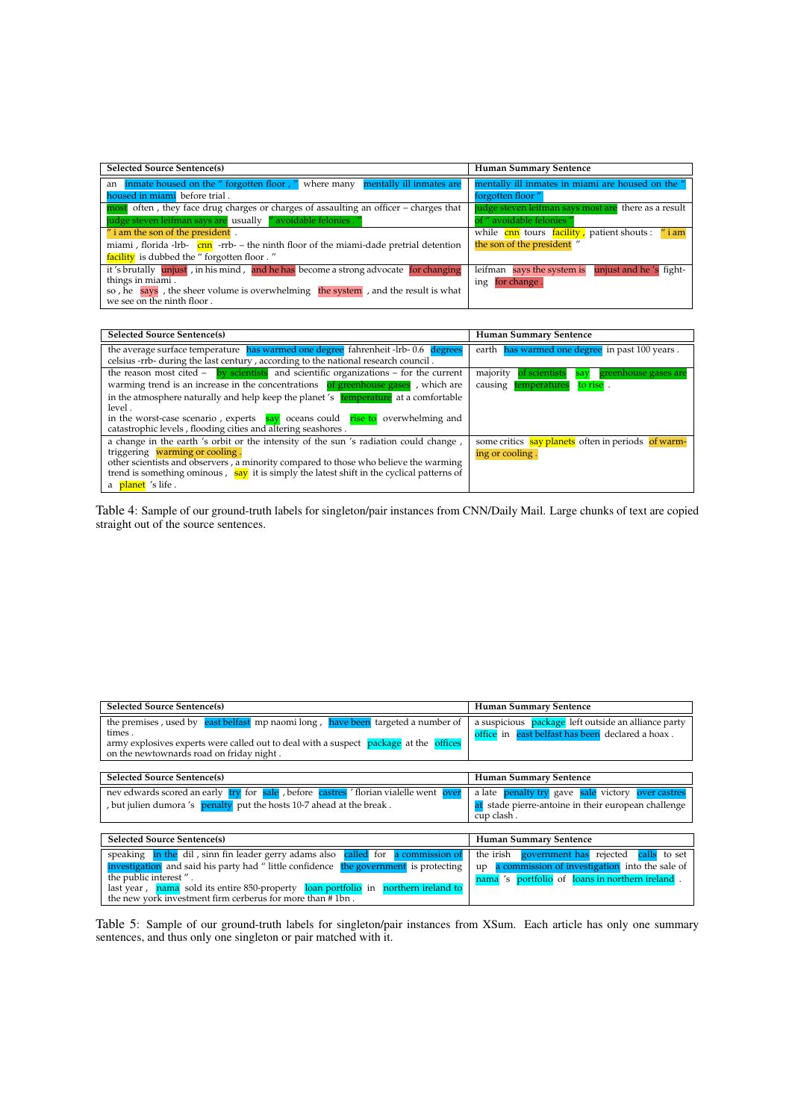<span id="page-12-0"></span>

| <b>Selected Source Sentence(s)</b>                                                                              | <b>Human Summary Sentence</b>                        |
|-----------------------------------------------------------------------------------------------------------------|------------------------------------------------------|
| an inmate housed on the " forgotten floor, " where many mentally ill inmates are                                | mentally ill inmates in miami are housed on the "    |
| housed in miami before trial.                                                                                   | forgotten floor"                                     |
| most often, they face drug charges or charges of assaulting an officer - charges that                           | judge steven leifman says most are there as a result |
| judge steven leifman says are usually "avoidable felonies."                                                     | of " avoidable felonies "                            |
| $\prime\prime$ i am the son of the president.                                                                   | while cnn tours facility, patient shouts: "i am      |
| miami, florida -lrb- $\frac{\text{cm}}{\text{cm}}$ -rrb- - the ninth floor of the miami-dade pretrial detention | the son of the president"                            |
| facility is dubbed the "forgotten floor."                                                                       |                                                      |
| it's brutally unjust, in his mind, and he has become a strong advocate for changing                             | leifman says the system is unjust and he's fight-    |
| things in miami.                                                                                                | ing for change.                                      |
| so, he says, the sheer volume is overwhelming the system, and the result is what                                |                                                      |
| we see on the ninth floor.                                                                                      |                                                      |

| <b>Selected Source Sentence(s)</b>                                                                                                                                      | <b>Human Summary Sentence</b>                         |
|-------------------------------------------------------------------------------------------------------------------------------------------------------------------------|-------------------------------------------------------|
| the average surface temperature has warmed one degree fahrenheit -lrb-0.6 degrees<br>celsius -rrb- during the last century, according to the national research council. | earth has warmed one degree in past 100 years.        |
| the reason most cited $-$ by scientists and scientific organizations $-$ for the current                                                                                | of scientists<br>majority<br>say greenhouse gases are |
| warming trend is an increase in the concentrations of greenhouse gases, which are                                                                                       | to rise.<br>temperatures<br>causing                   |
| in the atmosphere naturally and help keep the planet's temperature at a comfortable                                                                                     |                                                       |
| level.                                                                                                                                                                  |                                                       |
| in the worst-case scenario, experts $\frac{say}{ay}$ oceans could rise to overwhelming and                                                                              |                                                       |
| catastrophic levels, flooding cities and altering seashores.                                                                                                            |                                                       |
| a change in the earth 's orbit or the intensity of the sun 's radiation could change,                                                                                   | some critics say planets often in periods of warm-    |
| triggering warming or cooling.                                                                                                                                          | ing or cooling.                                       |
| other scientists and observers, a minority compared to those who believe the warming                                                                                    |                                                       |
| trend is something ominous, say it is simply the latest shift in the cyclical patterns of                                                                               |                                                       |
| a planet 's life.                                                                                                                                                       |                                                       |

Table 4: Sample of our ground-truth labels for singleton/pair instances from CNN/Daily Mail. Large chunks of text are copied straight out of the source sentences.

<span id="page-12-1"></span>

| <b>Selected Source Sentence(s)</b>                                                                                                                                                                                                                                                                                                                   | <b>Human Summary Sentence</b>                                                                                                                                      |
|------------------------------------------------------------------------------------------------------------------------------------------------------------------------------------------------------------------------------------------------------------------------------------------------------------------------------------------------------|--------------------------------------------------------------------------------------------------------------------------------------------------------------------|
| the premises, used by east belfast mp naomilong, have been targeted a number of<br>times.<br>army explosives experts were called out to deal with a suspect package at the offices<br>on the newtownards road on friday night.                                                                                                                       | a suspicious package left outside an alliance party<br>office in east belfast has been declared a hoax.                                                            |
| <b>Selected Source Sentence(s)</b>                                                                                                                                                                                                                                                                                                                   | <b>Human Summary Sentence</b>                                                                                                                                      |
| nev edwards scored an early try for sale, before castres 'florian vialelle went over<br>, but julien dumora 's penalty put the hosts 10-7 ahead at the break.                                                                                                                                                                                        | a late penalty try gave sale victory over castres<br>at stade pierre-antoine in their european challenge<br>cup clash.                                             |
| <b>Selected Source Sentence(s)</b>                                                                                                                                                                                                                                                                                                                   | <b>Human Summary Sentence</b>                                                                                                                                      |
| speaking in the dil, sinn fin leader gerry adams also called for a commission of<br>investigation and said his party had "little confidence the government is protecting<br>the public interest".<br>last year, nama sold its entire 850-property loan portfolio in northern ireland to<br>the new york investment firm cerberus for more than #1bn. | the irish<br>government has rejected<br>calls<br>to set<br>a commission of investigation into the sale of<br>up<br>nama 's portfolio of loans in northern ireland. |

Table 5: Sample of our ground-truth labels for singleton/pair instances from XSum. Each article has only one summary sentences, and thus only one singleton or pair matched with it.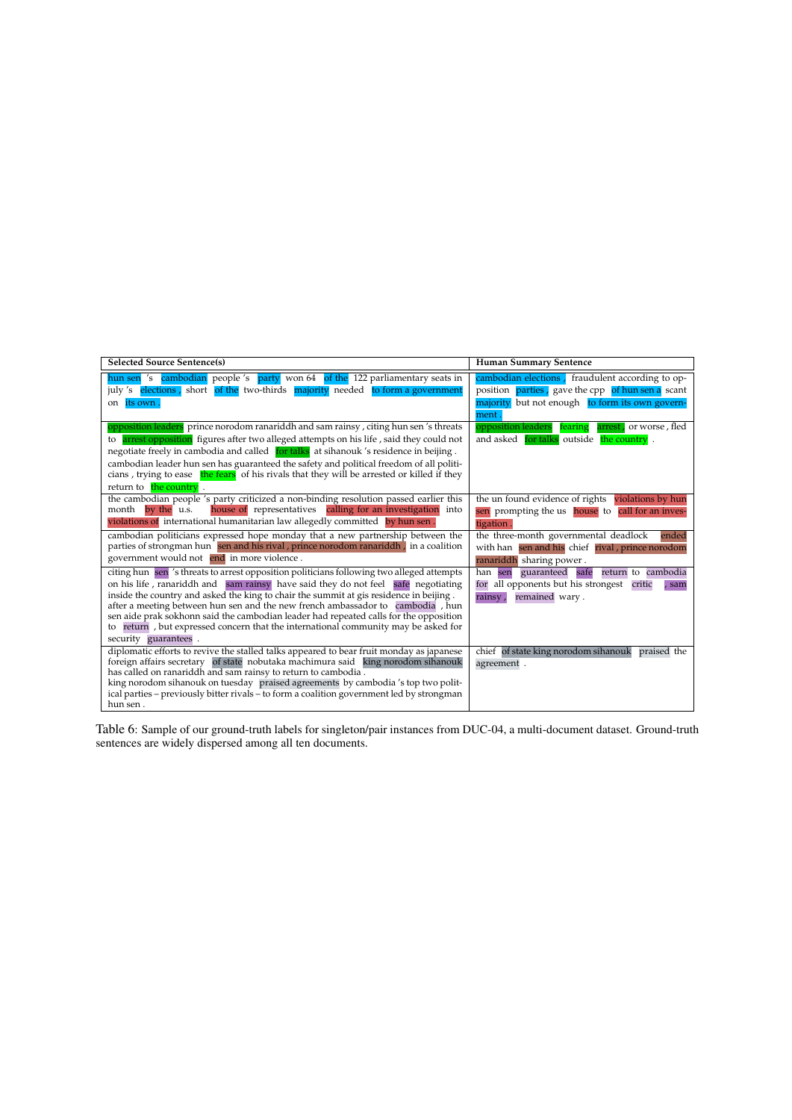<span id="page-13-0"></span>

| <b>Selected Source Sentence(s)</b>                                                                                                                                          | <b>Human Summary Sentence</b>                             |
|-----------------------------------------------------------------------------------------------------------------------------------------------------------------------------|-----------------------------------------------------------|
| hun sen 's cambodian people 's party won 64 of the 122 parliamentary seats in                                                                                               | cambodian elections, fraudulent according to op-          |
| july 's elections, short of the two-thirds majority needed to form a government                                                                                             | position <b>parties</b> , gave the cpp of hun sen a scant |
| its own<br>on                                                                                                                                                               | majority but not enough to form its own govern-           |
|                                                                                                                                                                             | ment                                                      |
| opposition leaders prince norodom ranariddh and sam rainsy, citing hun sen's threats                                                                                        | opposition leaders<br>arrest, or worse, fled<br>fearing   |
| to arrest opposition figures after two alleged attempts on his life, said they could not                                                                                    | and asked for talks outside the country.                  |
| negotiate freely in cambodia and called for talks at sihanouk 's residence in beijing.                                                                                      |                                                           |
| cambodian leader hun sen has guaranteed the safety and political freedom of all politi-                                                                                     |                                                           |
| cians, trying to ease the fears of his rivals that they will be arrested or killed if they                                                                                  |                                                           |
| return to the country.                                                                                                                                                      |                                                           |
| the cambodian people 's party criticized a non-binding resolution passed earlier this                                                                                       | the un found evidence of rights violations by hun         |
| house of representatives calling for an investigation into<br>month by the u.s.                                                                                             | sen prompting the us house to call for an inves-          |
| violations of international humanitarian law allegedly committed by hun sen.                                                                                                | tigation                                                  |
| cambodian politicians expressed hope monday that a new partnership between the                                                                                              | the three-month governmental deadlock<br>ended            |
| parties of strongman hun sen and his rival, prince norodom ranariddh, in a coalition                                                                                        | with han sen and his chief rival, prince norodom          |
| government would not end in more violence.                                                                                                                                  | ranariddh sharing power.                                  |
| citing hun sen 's threats to arrest opposition politicians following two alleged attempts                                                                                   | guaranteed safe<br>han sen<br>return to cambodia          |
| on his life, ranariddh and sam rainsy have said they do not feel safe negotiating                                                                                           | for all opponents but his strongest critic<br>, sam       |
| inside the country and asked the king to chair the summit at gis residence in beijing.                                                                                      | remained wary.<br>rainsy,                                 |
| after a meeting between hun sen and the new french ambassador to cambodia, hun                                                                                              |                                                           |
| sen aide prak sokhonn said the cambodian leader had repeated calls for the opposition<br>to return, but expressed concern that the international community may be asked for |                                                           |
| security guarantees.                                                                                                                                                        |                                                           |
| diplomatic efforts to revive the stalled talks appeared to bear fruit monday as japanese                                                                                    | chief of state king norodom sihanouk<br>praised the       |
| foreign affairs secretary of state nobutaka machimura said king norodom sihanouk                                                                                            | agreement.                                                |
| has called on ranariddh and sam rainsy to return to cambodia.                                                                                                               |                                                           |
| king norodom sihanouk on tuesday praised agreements by cambodia's top two polit-                                                                                            |                                                           |
| ical parties – previously bitter rivals – to form a coalition government led by strongman                                                                                   |                                                           |
| hun sen.                                                                                                                                                                    |                                                           |

Table 6: Sample of our ground-truth labels for singleton/pair instances from DUC-04, a multi-document dataset. Ground-truth sentences are widely dispersed among all ten documents.